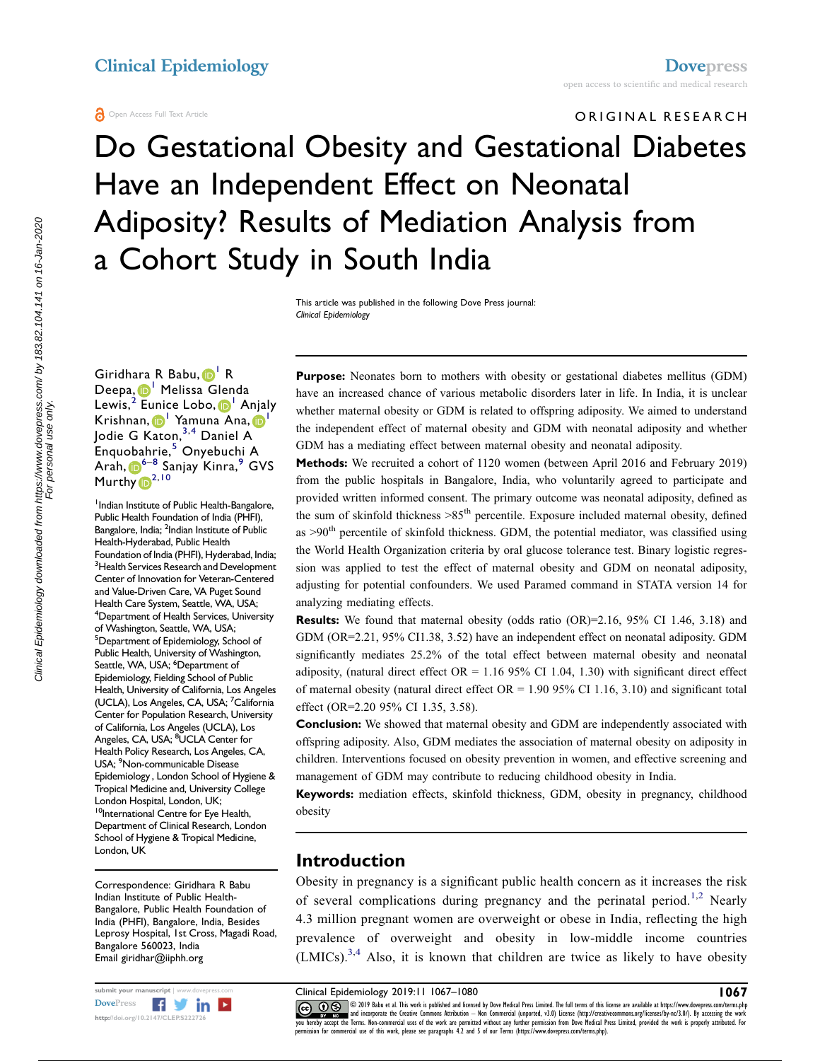#### **A** Open Access Full Text Article

ORIGINAL RESEARCH Do Gestational Obesity and Gestational Diabetes Have an Independent Effect on Neonatal Adiposity? Results of Mediation Analysis from a Cohort Study in South India

> This article was published in the following Dove Press journal: Clinical Epidemiology

Giridhara R Babu, D<sup>[1](#page-0-0)</sup> R Deepa, [1](#page-0-0) Melissa Glenda Lewis,<sup>[2](#page-0-1)</sup> Eunice Lobo, D<sup>[1](#page-0-0)</sup> Anjaly Krishnan, D<sup>[1](#page-0-0)</sup> Yamuna Ana, D<sup>1</sup> Jodie G Katon,<sup>[3,](#page-0-2)[4](#page-0-3)</sup> Daniel A Enquobahrie,[5](#page-0-4) Onyebuchi A Arah, [6](#page-0-5)–[8](#page-0-6) Sanjay Kinra,[9](#page-0-7) GVS Murthy <sup>[2,](#page-0-1)[10](#page-0-8)</sup>

<span id="page-0-5"></span><span id="page-0-4"></span><span id="page-0-3"></span><span id="page-0-2"></span><span id="page-0-1"></span><span id="page-0-0"></span><sup>1</sup> Indian Institute of Public Health-Bangalore, Public Health Foundation of India (PHFI), Bangalore, India; <sup>2</sup>Indian Institute of Public Health-Hyderabad, Public Health Foundation of India (PHFI), Hyderabad, India; <sup>3</sup> Health Services Research and Development Center of Innovation for Veteran-Centered and Value-Driven Care, VA Puget Sound Health Care System, Seattle, WA, USA; 4 Department of Health Services, University of Washington, Seattle, WA, USA; 5 Department of Epidemiology, School of Public Health, University of Washington, Seattle, WA, USA; <sup>6</sup>Department of Epidemiology, Fielding School of Public Health, University of California, Los Angeles (UCLA), Los Angeles, CA, USA; <sup>7</sup>California Center for Population Research, University of California, Los Angeles (UCLA), Los Angeles, CA, USA; <sup>8</sup>UCLA Center for Health Policy Research, Los Angeles, CA, USA; <sup>9</sup>Non-communicable Disease Epidemiology , London School of Hygiene & Tropical Medicine and, University College London Hospital, London, UK; <sup>10</sup>International Centre for Eye Health, Department of Clinical Research, London School of Hygiene & Tropical Medicine, London, UK

<span id="page-0-8"></span><span id="page-0-7"></span><span id="page-0-6"></span>Correspondence: Giridhara R Babu Indian Institute of Public Health-Bangalore, Public Health Foundation of India (PHFI), Bangalore, India, Besides Leprosy Hospital, 1st Cross, Magadi Road, Bangalore 560023, India Email giridhar@iiphh.org



Purpose: Neonates born to mothers with obesity or gestational diabetes mellitus (GDM) have an increased chance of various metabolic disorders later in life. In India, it is unclear whether maternal obesity or GDM is related to offspring adiposity. We aimed to understand the independent effect of maternal obesity and GDM with neonatal adiposity and whether GDM has a mediating effect between maternal obesity and neonatal adiposity.

Methods: We recruited a cohort of 1120 women (between April 2016 and February 2019) from the public hospitals in Bangalore, India, who voluntarily agreed to participate and provided written informed consent. The primary outcome was neonatal adiposity, defined as the sum of skinfold thickness >85<sup>th</sup> percentile. Exposure included maternal obesity, defined as  $>90<sup>th</sup>$  percentile of skinfold thickness. GDM, the potential mediator, was classified using the World Health Organization criteria by oral glucose tolerance test. Binary logistic regression was applied to test the effect of maternal obesity and GDM on neonatal adiposity, adjusting for potential confounders. We used Paramed command in STATA version 14 for analyzing mediating effects.

Results: We found that maternal obesity (odds ratio (OR)=2.16, 95% CI 1.46, 3.18) and GDM (OR=2.21, 95% CI1.38, 3.52) have an independent effect on neonatal adiposity. GDM significantly mediates 25.2% of the total effect between maternal obesity and neonatal adiposity, (natural direct effect OR =  $1.16$  95% CI 1.04, 1.30) with significant direct effect of maternal obesity (natural direct effect  $OR = 1.9095\%$  CI 1.16, 3.10) and significant total effect (OR=2.20 95% CI 1.35, 3.58).

**Conclusion:** We showed that maternal obesity and GDM are independently associated with offspring adiposity. Also, GDM mediates the association of maternal obesity on adiposity in children. Interventions focused on obesity prevention in women, and effective screening and management of GDM may contribute to reducing childhood obesity in India.

Keywords: mediation effects, skinfold thickness, GDM, obesity in pregnancy, childhood obesity

# Introduction

<span id="page-0-9"></span>Obesity in pregnancy is a significant public health concern as it increases the risk of several complications during pregnancy and the perinatal period.<sup>[1,](#page-11-0)[2](#page-11-1)</sup> Nearly 4.3 million pregnant women are overweight or obese in India, reflecting the high prevalence of overweight and obesity in low-middle income countries  $(LMICs).<sup>3,4</sup>$  $(LMICs).<sup>3,4</sup>$  $(LMICs).<sup>3,4</sup>$  $(LMICs).<sup>3,4</sup>$  Also, it is known that children are twice as likely to have obesity

<span id="page-0-10"></span>

submit your manuscript | www.dovepress.com Clinical Epidemiology 2019:11 1067–1080 1067 CC 0 3019 Babu et al. This work is published and licensed by Dove Medical Press Limited. The full terms of this license are available at https://www.dovepress.com/terms.php www.particle.com and incorporate the Creative Commons Attribution — Non Commercial (unported, v3.0) License (http://creativecommons.org/licenses/by-nc/3.0/). By accessing the work<br>you hereby accept the Terms. Non-commercia permission for commercial use of this work, please see paragraphs 4.2 and 5 of our Terms (https://www.dovepress.com/terms.php).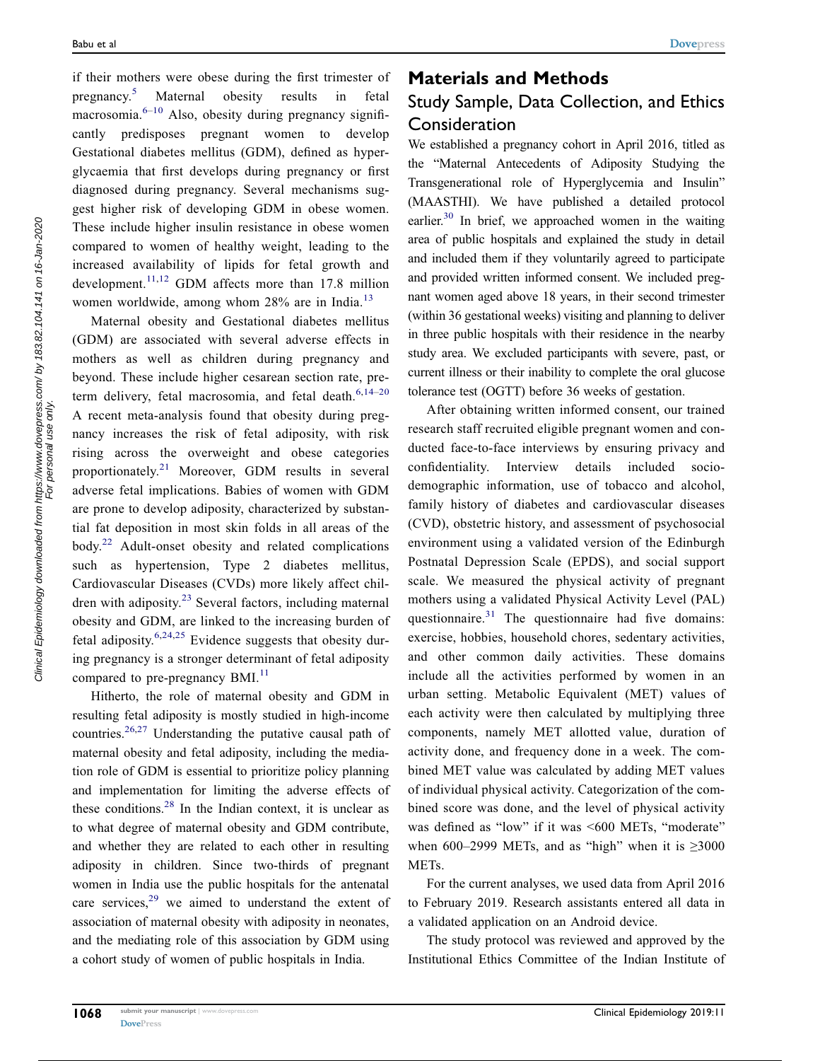<span id="page-1-2"></span><span id="page-1-0"></span>if their mothers were obese during the first trimester of pregnancy.[5](#page-11-4) Maternal obesity results in fetal macrosomia. $6-10$  $6-10$  $6-10$  Also, obesity during pregnancy significantly predisposes pregnant women to develop Gestational diabetes mellitus (GDM), defined as hyperglycaemia that first develops during pregnancy or first diagnosed during pregnancy. Several mechanisms suggest higher risk of developing GDM in obese women. These include higher insulin resistance in obese women compared to women of healthy weight, leading to the increased availability of lipids for fetal growth and development.<sup>[11,](#page-11-7)[12](#page-11-8)</sup> GDM affects more than 17.8 million women worldwide, among whom 28% are in India.<sup>[13](#page-11-9)</sup>

<span id="page-1-7"></span><span id="page-1-6"></span><span id="page-1-5"></span><span id="page-1-4"></span>Maternal obesity and Gestational diabetes mellitus (GDM) are associated with several adverse effects in mothers as well as children during pregnancy and beyond. These include higher cesarean section rate, pre-term delivery, fetal macrosomia, and fetal death.<sup>[6,](#page-11-5)[14](#page-11-10)-[20](#page-11-11)</sup> A recent meta-analysis found that obesity during pregnancy increases the risk of fetal adiposity, with risk rising across the overweight and obese categories proportionately.[21](#page-11-12) Moreover, GDM results in several adverse fetal implications. Babies of women with GDM are prone to develop adiposity, characterized by substantial fat deposition in most skin folds in all areas of the body.[22](#page-11-13) Adult-onset obesity and related complications such as hypertension, Type 2 diabetes mellitus, Cardiovascular Diseases (CVDs) more likely affect chil-dren with adiposity.<sup>[23](#page-11-14)</sup> Several factors, including maternal obesity and GDM, are linked to the increasing burden of fetal adiposity.<sup>[6](#page-11-5)[,24,](#page-11-15)[25](#page-11-16)</sup> Evidence suggests that obesity during pregnancy is a stronger determinant of fetal adiposity compared to pre-pregnancy BMI.<sup>[11](#page-11-7)</sup>

<span id="page-1-12"></span><span id="page-1-11"></span><span id="page-1-10"></span><span id="page-1-9"></span><span id="page-1-8"></span><span id="page-1-3"></span><span id="page-1-1"></span>Hitherto, the role of maternal obesity and GDM in resulting fetal adiposity is mostly studied in high-income countries.[26,](#page-11-17)[27](#page-11-18) Understanding the putative causal path of maternal obesity and fetal adiposity, including the mediation role of GDM is essential to prioritize policy planning and implementation for limiting the adverse effects of these conditions. $28$  In the Indian context, it is unclear as to what degree of maternal obesity and GDM contribute, and whether they are related to each other in resulting adiposity in children. Since two-thirds of pregnant women in India use the public hospitals for the antenatal care services.<sup>[29](#page-11-20)</sup> we aimed to understand the extent of association of maternal obesity with adiposity in neonates, and the mediating role of this association by GDM using a cohort study of women of public hospitals in India.

# Materials and Methods Study Sample, Data Collection, and Ethics **Consideration**

<span id="page-1-13"></span>We established a pregnancy cohort in April 2016, titled as the "Maternal Antecedents of Adiposity Studying the Transgenerational role of Hyperglycemia and Insulin" (MAASTHI). We have published a detailed protocol earlier. $30$  In brief, we approached women in the waiting area of public hospitals and explained the study in detail and included them if they voluntarily agreed to participate and provided written informed consent. We included pregnant women aged above 18 years, in their second trimester (within 36 gestational weeks) visiting and planning to deliver in three public hospitals with their residence in the nearby study area. We excluded participants with severe, past, or current illness or their inability to complete the oral glucose tolerance test (OGTT) before 36 weeks of gestation.

<span id="page-1-14"></span>After obtaining written informed consent, our trained research staff recruited eligible pregnant women and conducted face-to-face interviews by ensuring privacy and confidentiality. Interview details included sociodemographic information, use of tobacco and alcohol, family history of diabetes and cardiovascular diseases (CVD), obstetric history, and assessment of psychosocial environment using a validated version of the Edinburgh Postnatal Depression Scale (EPDS), and social support scale. We measured the physical activity of pregnant mothers using a validated Physical Activity Level (PAL) questionnaire. $31$  The questionnaire had five domains: exercise, hobbies, household chores, sedentary activities, and other common daily activities. These domains include all the activities performed by women in an urban setting. Metabolic Equivalent (MET) values of each activity were then calculated by multiplying three components, namely MET allotted value, duration of activity done, and frequency done in a week. The combined MET value was calculated by adding MET values of individual physical activity. Categorization of the combined score was done, and the level of physical activity was defined as "low" if it was <600 METs, "moderate" when 600–2999 METs, and as "high" when it is  $\geq 3000$ METs.

For the current analyses, we used data from April 2016 to February 2019. Research assistants entered all data in a validated application on an Android device.

The study protocol was reviewed and approved by the Institutional Ethics Committee of the Indian Institute of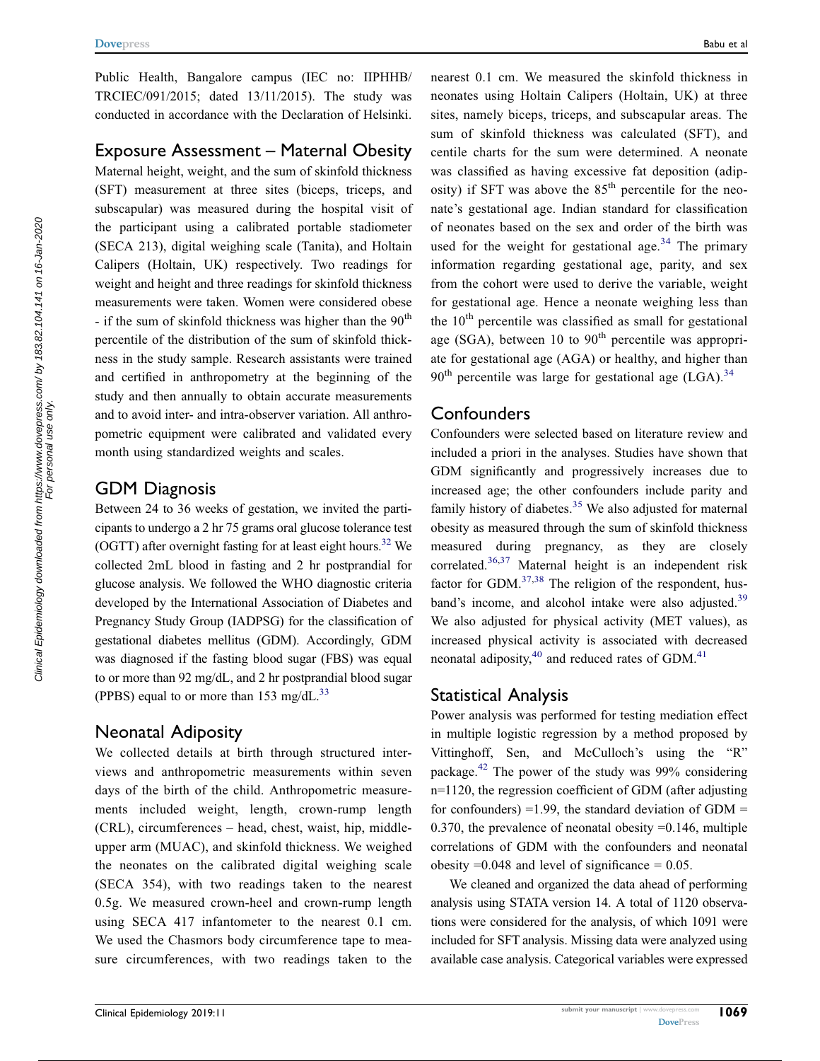Public Health, Bangalore campus (IEC no: IIPHHB/ TRCIEC/091/2015; dated 13/11/2015). The study was conducted in accordance with the Declaration of Helsinki.

# Exposure Assessment – Maternal Obesity

Maternal height, weight, and the sum of skinfold thickness (SFT) measurement at three sites (biceps, triceps, and subscapular) was measured during the hospital visit of the participant using a calibrated portable stadiometer (SECA 213), digital weighing scale (Tanita), and Holtain Calipers (Holtain, UK) respectively. Two readings for weight and height and three readings for skinfold thickness measurements were taken. Women were considered obese - if the sum of skinfold thickness was higher than the  $90<sup>th</sup>$ percentile of the distribution of the sum of skinfold thickness in the study sample. Research assistants were trained and certified in anthropometry at the beginning of the study and then annually to obtain accurate measurements and to avoid inter- and intra-observer variation. All anthropometric equipment were calibrated and validated every month using standardized weights and scales.

## GDM Diagnosis

<span id="page-2-0"></span>Between 24 to 36 weeks of gestation, we invited the participants to undergo a 2 hr 75 grams oral glucose tolerance test (OGTT) after overnight fasting for at least eight hours.<sup>32</sup> We collected 2mL blood in fasting and 2 hr postprandial for glucose analysis. We followed the WHO diagnostic criteria developed by the International Association of Diabetes and Pregnancy Study Group (IADPSG) for the classification of gestational diabetes mellitus (GDM). Accordingly, GDM was diagnosed if the fasting blood sugar (FBS) was equal to or more than 92 mg/dL, and 2 hr postprandial blood sugar (PPBS) equal to or more than 153 mg/dL. $^{33}$  $^{33}$  $^{33}$ 

## <span id="page-2-1"></span>Neonatal Adiposity

We collected details at birth through structured interviews and anthropometric measurements within seven days of the birth of the child. Anthropometric measurements included weight, length, crown-rump length (CRL), circumferences – head, chest, waist, hip, middleupper arm (MUAC), and skinfold thickness. We weighed the neonates on the calibrated digital weighing scale (SECA 354), with two readings taken to the nearest 0.5g. We measured crown-heel and crown-rump length using SECA 417 infantometer to the nearest 0.1 cm. We used the Chasmors body circumference tape to measure circumferences, with two readings taken to the

nearest 0.1 cm. We measured the skinfold thickness in neonates using Holtain Calipers (Holtain, UK) at three sites, namely biceps, triceps, and subscapular areas. The sum of skinfold thickness was calculated (SFT), and centile charts for the sum were determined. A neonate was classified as having excessive fat deposition (adiposity) if SFT was above the  $85<sup>th</sup>$  percentile for the neonate's gestational age. Indian standard for classification of neonates based on the sex and order of the birth was used for the weight for gestational age.<sup>[34](#page-11-25)</sup> The primary information regarding gestational age, parity, and sex from the cohort were used to derive the variable, weight for gestational age. Hence a neonate weighing less than the  $10<sup>th</sup>$  percentile was classified as small for gestational age (SGA), between 10 to  $90<sup>th</sup>$  percentile was appropriate for gestational age (AGA) or healthy, and higher than  $90<sup>th</sup>$  percentile was large for gestational age (LGA).<sup>[34](#page-11-25)</sup>

# <span id="page-2-2"></span>**Confounders**

<span id="page-2-4"></span><span id="page-2-3"></span>Confounders were selected based on literature review and included a priori in the analyses. Studies have shown that GDM significantly and progressively increases due to increased age; the other confounders include parity and family history of diabetes. $35$  We also adjusted for maternal obesity as measured through the sum of skinfold thickness measured during pregnancy, as they are closely correlated.[36,](#page-11-27)[37](#page-11-28) Maternal height is an independent risk factor for GDM. $37,38$  $37,38$  $37,38$  The religion of the respondent, hus-band's income, and alcohol intake were also adjusted.<sup>[39](#page-12-1)</sup> We also adjusted for physical activity (MET values), as increased physical activity is associated with decreased neonatal adiposity,<sup>40</sup> and reduced rates of GDM.<sup>[41](#page-12-3)</sup>

# <span id="page-2-7"></span><span id="page-2-6"></span><span id="page-2-5"></span>Statistical Analysis

<span id="page-2-8"></span>Power analysis was performed for testing mediation effect in multiple logistic regression by a method proposed by Vittinghoff, Sen, and McCulloch's using the "R" package.[42](#page-12-4) The power of the study was 99% considering n=1120, the regression coefficient of GDM (after adjusting for confounders) =1.99, the standard deviation of  $GDM =$ 0.370, the prevalence of neonatal obesity  $=0.146$ , multiple correlations of GDM with the confounders and neonatal obesity  $=0.048$  and level of significance  $= 0.05$ .

We cleaned and organized the data ahead of performing analysis using STATA version 14. A total of 1120 observations were considered for the analysis, of which 1091 were included for SFT analysis. Missing data were analyzed using available case analysis. Categorical variables were expressed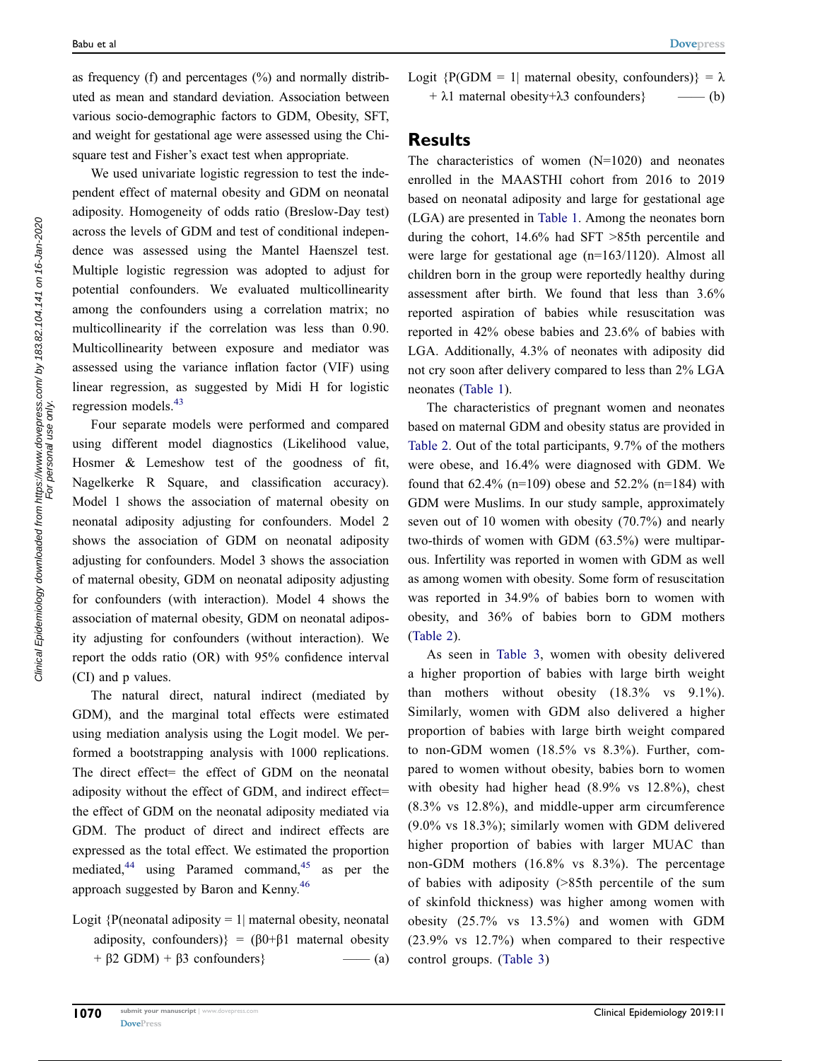as frequency (f) and percentages  $(\%)$  and normally distributed as mean and standard deviation. Association between various socio-demographic factors to GDM, Obesity, SFT, and weight for gestational age were assessed using the Chisquare test and Fisher's exact test when appropriate.

We used univariate logistic regression to test the independent effect of maternal obesity and GDM on neonatal adiposity. Homogeneity of odds ratio (Breslow-Day test) across the levels of GDM and test of conditional independence was assessed using the Mantel Haenszel test. Multiple logistic regression was adopted to adjust for potential confounders. We evaluated multicollinearity among the confounders using a correlation matrix; no multicollinearity if the correlation was less than 0.90. Multicollinearity between exposure and mediator was assessed using the variance inflation factor (VIF) using linear regression, as suggested by Midi H for logistic regression models.[43](#page-12-5)

<span id="page-3-0"></span>Four separate models were performed and compared using different model diagnostics (Likelihood value, Hosmer & Lemeshow test of the goodness of fit, Nagelkerke R Square, and classification accuracy). Model 1 shows the association of maternal obesity on neonatal adiposity adjusting for confounders. Model 2 shows the association of GDM on neonatal adiposity adjusting for confounders. Model 3 shows the association of maternal obesity, GDM on neonatal adiposity adjusting for confounders (with interaction). Model 4 shows the association of maternal obesity, GDM on neonatal adiposity adjusting for confounders (without interaction). We report the odds ratio (OR) with 95% confidence interval (CI) and p values.

The natural direct, natural indirect (mediated by GDM), and the marginal total effects were estimated using mediation analysis using the Logit model. We performed a bootstrapping analysis with 1000 replications. The direct effect= the effect of GDM on the neonatal adiposity without the effect of GDM, and indirect effect= the effect of GDM on the neonatal adiposity mediated via GDM. The product of direct and indirect effects are expressed as the total effect. We estimated the proportion mediated, $^{44}$  $^{44}$  $^{44}$  using Paramed command, $^{45}$  $^{45}$  $^{45}$  as per the approach suggested by Baron and Kenny.[46](#page-12-8)

<span id="page-3-2"></span><span id="page-3-1"></span>Logit  ${P(\text{neonatal adiposity} = 1 | \text{material obesity, neonatal})}$ adiposity, confounders) $(60+61)$  maternal obesity  $+ \beta 2$  GDM) +  $\beta 3$  confounders} —— (a) Logit  ${P(GDM = 1|$  maternal obesity, confounders)} =  $\lambda$  $+ \lambda 1$  maternal obesity +  $\lambda 3$  confounders } —— (b)

## Results

The characteristics of women (N=1020) and neonates enrolled in the MAASTHI cohort from 2016 to 2019 based on neonatal adiposity and large for gestational age (LGA) are presented in [Table 1.](#page-4-0) Among the neonates born during the cohort, 14.6% had SFT >85th percentile and were large for gestational age (n=163/1120). Almost all children born in the group were reportedly healthy during assessment after birth. We found that less than 3.6% reported aspiration of babies while resuscitation was reported in 42% obese babies and 23.6% of babies with LGA. Additionally, 4.3% of neonates with adiposity did not cry soon after delivery compared to less than 2% LGA neonates [\(Table 1\)](#page-4-0).

The characteristics of pregnant women and neonates based on maternal GDM and obesity status are provided in [Table 2.](#page-6-0) Out of the total participants, 9.7% of the mothers were obese, and 16.4% were diagnosed with GDM. We found that  $62.4\%$  (n=109) obese and  $52.2\%$  (n=184) with GDM were Muslims. In our study sample, approximately seven out of 10 women with obesity (70.7%) and nearly two-thirds of women with GDM (63.5%) were multiparous. Infertility was reported in women with GDM as well as among women with obesity. Some form of resuscitation was reported in 34.9% of babies born to women with obesity, and 36% of babies born to GDM mothers [\(Table 2](#page-6-0)).

As seen in [Table 3](#page-8-0), women with obesity delivered a higher proportion of babies with large birth weight than mothers without obesity (18.3% vs 9.1%). Similarly, women with GDM also delivered a higher proportion of babies with large birth weight compared to non-GDM women (18.5% vs 8.3%). Further, compared to women without obesity, babies born to women with obesity had higher head (8.9% vs 12.8%), chest (8.3% vs 12.8%), and middle-upper arm circumference (9.0% vs 18.3%); similarly women with GDM delivered higher proportion of babies with larger MUAC than non-GDM mothers (16.8% vs 8.3%). The percentage of babies with adiposity (>85th percentile of the sum of skinfold thickness) was higher among women with obesity (25.7% vs 13.5%) and women with GDM (23.9% vs 12.7%) when compared to their respective control groups. [\(Table 3\)](#page-8-0)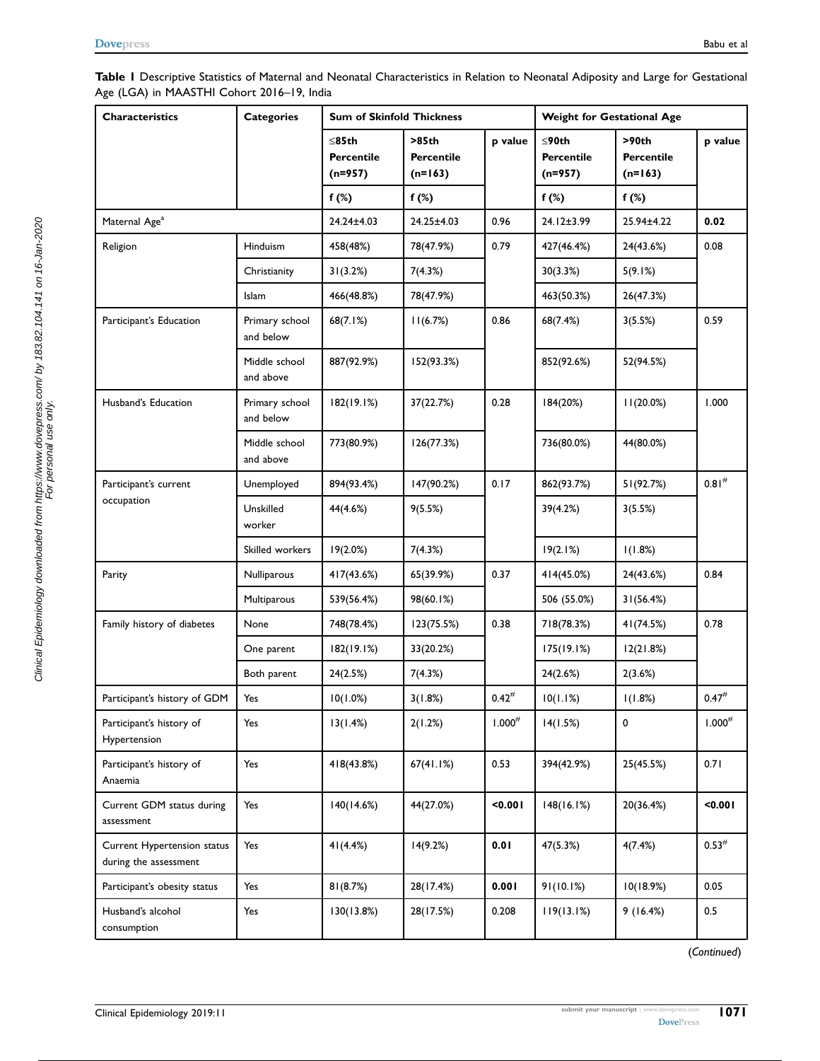<span id="page-4-0"></span>

| Table I Descriptive Statistics of Maternal and Neonatal Characteristics in Relation to Neonatal Adiposity and Large for Gestational |  |
|-------------------------------------------------------------------------------------------------------------------------------------|--|
| Age (LGA) in MAASTHI Cohort 2016-19, India                                                                                          |  |

| <b>Characteristics</b>                               | <b>Categories</b>           | <b>Sum of Skinfold Thickness</b>       |                                  |             | Weight for Gestational Age              |                                  |                   |  |
|------------------------------------------------------|-----------------------------|----------------------------------------|----------------------------------|-------------|-----------------------------------------|----------------------------------|-------------------|--|
|                                                      |                             | $\leq$ 85th<br>Percentile<br>$(n=957)$ | >85th<br>Percentile<br>$(n=163)$ | p value     | ≤90th<br><b>Percentile</b><br>$(n=957)$ | >90th<br>Percentile<br>$(n=163)$ | p value           |  |
|                                                      |                             | $f(\%)$                                | $f(\%)$                          |             | $f(\%)$                                 | f $(%)$                          |                   |  |
| Maternal Age <sup>a</sup>                            |                             | 24.24±4.03                             | 24.25±4.03                       | 0.96        | 24.12±3.99                              | 25.94±4.22                       | 0.02              |  |
| Religion                                             | Hinduism                    | 458(48%)                               | 78(47.9%)                        | 0.79        | 427(46.4%)                              | 24(43.6%)                        | 0.08              |  |
|                                                      | Christianity                | 31(3.2%)                               | 7(4.3%)                          |             | 30(3.3%)                                | 5(9.1%)                          |                   |  |
|                                                      | Islam                       | 466(48.8%)                             | 78(47.9%)                        |             | 463(50.3%)                              | 26(47.3%)                        |                   |  |
| Participant's Education                              | Primary school<br>and below | 68(7.1%)                               | 11(6.7%)                         | 0.86        | 68(7.4%)                                | 3(5.5%)                          | 0.59              |  |
|                                                      | Middle school<br>and above  | 887(92.9%)                             | 152(93.3%)                       |             | 852(92.6%)                              | 52(94.5%)                        |                   |  |
| Husband's Education                                  | Primary school<br>and below | 182(19.1%)                             | 37(22.7%)                        | 0.28        | 184(20%)                                | 11(20.0%)                        | 1.000             |  |
|                                                      | Middle school<br>and above  | 773(80.9%)                             | 126(77.3%)                       |             | 736(80.0%)                              | 44(80.0%)                        |                   |  |
| Participant's current                                | Unemployed                  | 894(93.4%)                             | 147(90.2%)                       | 0.17        | 862(93.7%)                              | 51(92.7%)                        | 0.81 <sup>#</sup> |  |
| occupation                                           | Unskilled<br>worker         | 44(4.6%)                               | 9(5.5%)                          |             | 39(4.2%)                                | 3(5.5%)                          |                   |  |
|                                                      | Skilled workers             | 19(2.0%)                               | 7(4.3%)                          |             | 19(2.1%)                                | 1(1.8%)                          |                   |  |
| Parity                                               | Nulliparous                 | 417(43.6%)                             | 65(39.9%)                        | 0.37        | 414(45.0%)                              | 24(43.6%)                        | 0.84              |  |
|                                                      | Multiparous                 | 539(56.4%)                             | 98(60.1%)                        |             | 506 (55.0%)                             | 31(56.4%)                        |                   |  |
| Family history of diabetes                           | None                        | 748(78.4%)                             | 123(75.5%)                       | 0.38        | 718(78.3%)                              | 41 (74.5%)                       | 0.78              |  |
|                                                      | One parent                  | 182(19.1%)                             | 33(20.2%)                        |             | 175(19.1%)                              | 12(21.8%)                        |                   |  |
|                                                      | Both parent                 | 24(2.5%)                               | 7(4.3%)                          |             | 24(2.6%)                                | 2(3.6%)                          |                   |  |
| Participant's history of GDM                         | Yes                         | 10(1.0%)                               | 3(1.8%)                          | $0.42^{#}$  | 10(1.1%)                                | 1(1.8%)                          | $0.47^{#}$        |  |
| Participant's history of<br>Hypertension             | Yes                         | 13(1.4%)                               | 2(1.2%)                          | $1.000^{#}$ | 14(1.5%)                                | $\mathbf 0$                      | $1.000^{\#}$      |  |
| Participant's history of<br>Anaemia                  | Yes                         | 418(43.8%)                             | 67(41.1%)                        | 0.53        | 394(42.9%)                              | 25(45.5%)                        | 0.71              |  |
| Current GDM status during<br>assessment              | Yes                         | 140(14.6%)                             | 44(27.0%)                        | 0.001       | 148(16.1%)                              | 20(36.4%)                        | < 0.001           |  |
| Current Hypertension status<br>during the assessment | Yes                         | 41(4.4%)                               | 14(9.2%)                         | 0.01        | 47(5.3%)                                | 4(7.4%)                          | $0.53^{\#}$       |  |
| Participant's obesity status                         | Yes                         | 81(8.7%)                               | 28(17.4%)                        | 0.001       | 91(10.1%)                               | 10(18.9%)                        | 0.05              |  |
| Husband's alcohol<br>consumption                     | Yes                         | 130(13.8%)                             | 28(17.5%)                        | 0.208       | 119(13.1%)                              | 9(16.4%)                         | $0.5\,$           |  |

(Continued)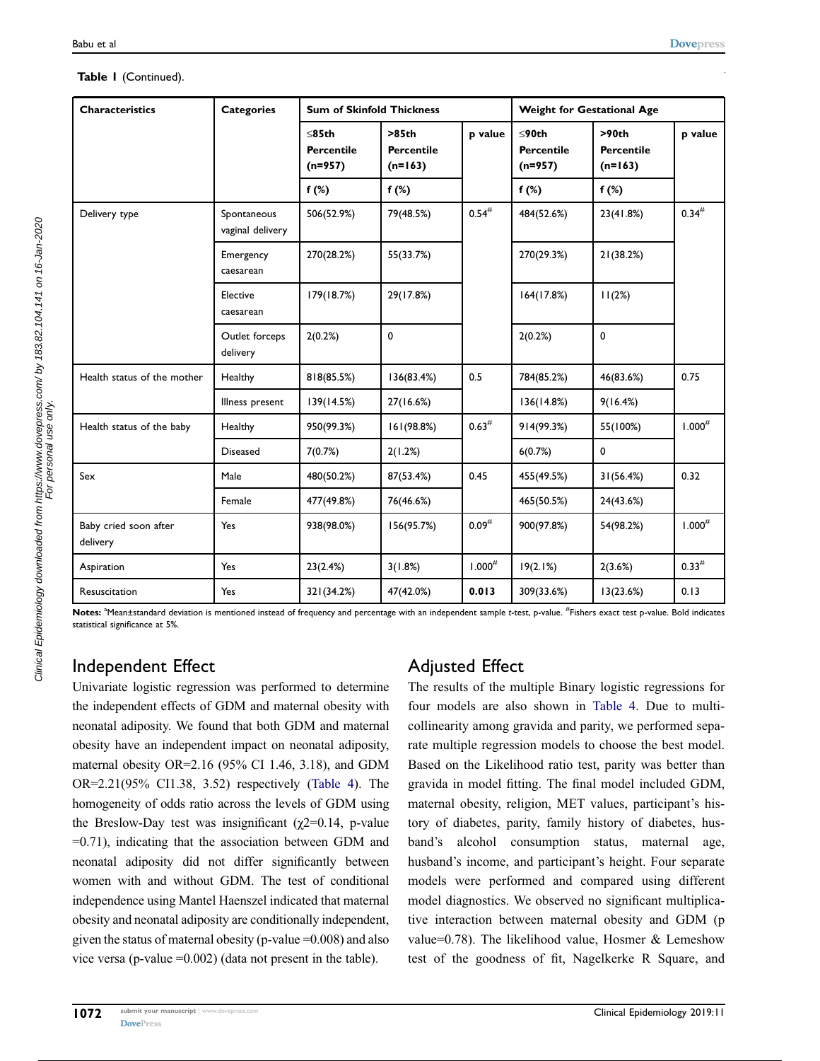### Table I (Continued).

| <b>Characteristics</b>            | <b>Categories</b>               | <b>Sum of Skinfold Thickness</b>              |                                         |             | <b>Weight for Gestational Age</b>             |                                         |                    |  |
|-----------------------------------|---------------------------------|-----------------------------------------------|-----------------------------------------|-------------|-----------------------------------------------|-----------------------------------------|--------------------|--|
|                                   |                                 | $\leq$ 85th<br><b>Percentile</b><br>$(n=957)$ | >85th<br><b>Percentile</b><br>$(n=163)$ | p value     | $\leq$ 90th<br><b>Percentile</b><br>$(n=957)$ | >90th<br><b>Percentile</b><br>$(n=163)$ | p value            |  |
|                                   |                                 | f $(%)$                                       | f $(\%)$                                |             | f $(\%)$                                      | f $(\%)$                                |                    |  |
| Delivery type                     | Spontaneous<br>vaginal delivery | 506(52.9%)                                    | 79(48.5%)                               | $0.54^{#}$  | 484(52.6%)                                    | 23(41.8%)                               | $0.34^{#}$         |  |
|                                   | Emergency<br>caesarean          | 270(28.2%)                                    | 55(33.7%)                               |             | 270(29.3%)                                    | 21(38.2%)                               |                    |  |
|                                   | Elective<br>caesarean           | 179(18.7%)                                    | 29(17.8%)                               |             | 164(17.8%)                                    | 11(2%)                                  |                    |  |
|                                   | Outlet forceps<br>delivery      | 2(0.2%)                                       | 0                                       |             | 2(0.2%)                                       | 0                                       |                    |  |
| Health status of the mother       | Healthy                         | 818(85.5%)                                    | 136(83.4%)                              | 0.5         | 784(85.2%)                                    | 46(83.6%)                               | 0.75               |  |
|                                   | Illness present                 | 139(14.5%)                                    | 27(16.6%)                               |             | 136(14.8%)                                    | 9(16.4%)                                |                    |  |
| Health status of the baby         | Healthy                         | 950(99.3%)                                    | 161(98.8%)                              | $0.63^{\#}$ | 914(99.3%)                                    | 55(100%)                                | 1.000 <sup>#</sup> |  |
|                                   | <b>Diseased</b>                 | 7(0.7%)                                       | 2(1.2%)                                 |             | 6(0.7%)                                       | 0                                       |                    |  |
| Sex                               | Male                            | 480(50.2%)                                    | 87(53.4%)                               | 0.45        | 455(49.5%)                                    | 31(56.4%)                               | 0.32               |  |
|                                   | Female                          | 477(49.8%)                                    | 76(46.6%)                               |             | 465(50.5%)                                    | 24(43.6%)                               |                    |  |
| Baby cried soon after<br>delivery | Yes                             | 938(98.0%)                                    | 156(95.7%)                              | $0.09^{#}$  | 900(97.8%)                                    | 54(98.2%)                               | $1.000^{#}$        |  |
| Aspiration                        | Yes                             | 23(2.4%)                                      | 3(1.8%)                                 | $1.000^{#}$ | 19(2.1%)                                      | 2(3.6%)                                 | $0.33^{#}$         |  |
| Resuscitation                     | Yes                             | 321(34.2%)                                    | 47(42.0%)                               | 0.013       | 309(33.6%)                                    | 13(23.6%)                               | 0.13               |  |

Notes: <sup>a</sup>Mean±standard deviation is mentioned instead of frequency and percentage with an independent sample t-test, p-value. <sup>#</sup>Fishers exact test p-value. Bold indicates statistical significance at 5%.

# Independent Effect

Univariate logistic regression was performed to determine the independent effects of GDM and maternal obesity with neonatal adiposity. We found that both GDM and maternal obesity have an independent impact on neonatal adiposity, maternal obesity OR=2.16 (95% CI 1.46, 3.18), and GDM OR=2.21(95% CI1.38, 3.52) respectively ([Table 4](#page-9-0)). The homogeneity of odds ratio across the levels of GDM using the Breslow-Day test was insignificant ( $\chi$ 2=0.14, p-value =0.71), indicating that the association between GDM and neonatal adiposity did not differ significantly between women with and without GDM. The test of conditional independence using Mantel Haenszel indicated that maternal obesity and neonatal adiposity are conditionally independent, given the status of maternal obesity ( $p$ -value =0.008) and also vice versa (p-value =0.002) (data not present in the table).

# Adjusted Effect

The results of the multiple Binary logistic regressions for four models are also shown in [Table 4.](#page-9-0) Due to multicollinearity among gravida and parity, we performed separate multiple regression models to choose the best model. Based on the Likelihood ratio test, parity was better than gravida in model fitting. The final model included GDM, maternal obesity, religion, MET values, participant's history of diabetes, parity, family history of diabetes, husband's alcohol consumption status, maternal age, husband's income, and participant's height. Four separate models were performed and compared using different model diagnostics. We observed no significant multiplicative interaction between maternal obesity and GDM (p value=0.78). The likelihood value, Hosmer & Lemeshow test of the goodness of fit, Nagelkerke R Square, and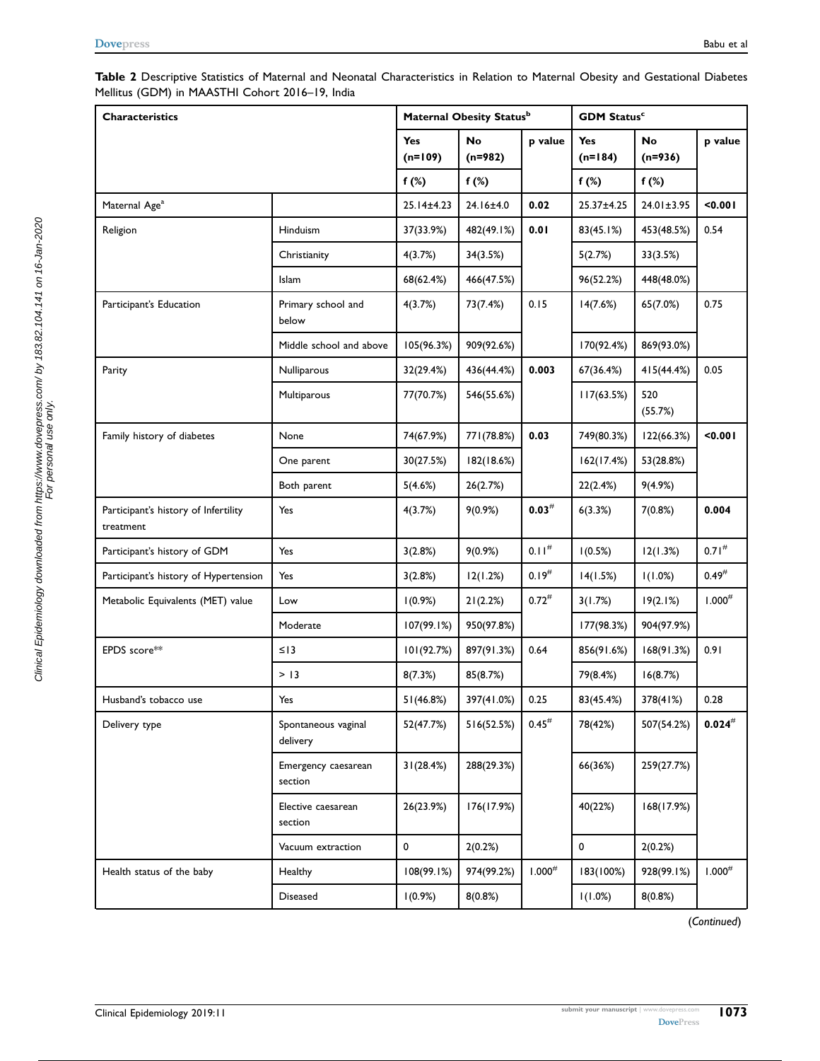#### <span id="page-6-0"></span>Table 2 Descriptive Statistics of Maternal and Neonatal Characteristics in Relation to Maternal Obesity and Gestational Diabetes Mellitus (GDM) in MAASTHI Cohort 2016–19, India

| <b>Characteristics</b>                            |                                 | Maternal Obesity Statusb |                        |                   |                         | <b>GDM Status<sup>c</sup></b> |                     |  |
|---------------------------------------------------|---------------------------------|--------------------------|------------------------|-------------------|-------------------------|-------------------------------|---------------------|--|
|                                                   |                                 | Yes<br>$(n=109)$         | <b>No</b><br>$(n=982)$ | p value           | <b>Yes</b><br>$(n=184)$ | No<br>$(n=936)$               | p value             |  |
|                                                   |                                 | f $(\%)$                 | f $(\%)$               |                   | $f(\%)$                 | $f(\%)$                       |                     |  |
| Maternal Age <sup>a</sup>                         |                                 | 25.14±4.23               | 24.16±4.0              | 0.02              | 25.37±4.25              | 24.01±3.95                    | < 0.001             |  |
| Religion                                          | Hinduism                        | 37(33.9%)                | 482(49.1%)             | 0.01              | 83(45.1%)               | 453(48.5%)                    | 0.54                |  |
|                                                   | Christianity                    | 4(3.7%)                  | 34(3.5%)               |                   | 5(2.7%)                 | 33(3.5%)                      |                     |  |
|                                                   | Islam                           | 68(62.4%)                | 466(47.5%)             |                   | 96(52.2%)               | 448(48.0%)                    |                     |  |
| Participant's Education                           | Primary school and<br>below     | 4(3.7%)                  | 73(7.4%)               | 0.15              | 14(7.6%)                | 65(7.0%)                      | 0.75                |  |
|                                                   | Middle school and above         | 105(96.3%)               | 909(92.6%)             |                   | 170(92.4%)              | 869(93.0%)                    |                     |  |
| Parity                                            | Nulliparous                     | 32(29.4%)                | 436(44.4%)             | 0.003             | 67(36.4%)               | 415(44.4%)                    | 0.05                |  |
|                                                   | Multiparous                     | 77(70.7%)                | 546(55.6%)             |                   | 117(63.5%)              | 520<br>(55.7%)                |                     |  |
| Family history of diabetes                        | None                            | 74(67.9%)                | 771(78.8%)             | 0.03              | 749(80.3%)              | 122(66.3%)                    | 0.001               |  |
|                                                   | One parent                      | 30(27.5%)                | 182(18.6%)             |                   | 162(17.4%)              | 53(28.8%)                     |                     |  |
|                                                   | Both parent                     | 5(4.6%)                  | 26(2.7%)               |                   | 22(2.4%)                | 9(4.9%)                       |                     |  |
| Participant's history of Infertility<br>treatment | Yes                             | 4(3.7%)                  | 9(0.9%)                | $0.03^{\#}$       | 6(3.3%)                 | 7(0.8%)                       | 0.004               |  |
| Participant's history of GDM                      | Yes                             | 3(2.8%)                  | 9(0.9%)                | 0.11 <sup>#</sup> | 1(0.5%)                 | 12(1.3%)                      | $0.71^{#}$          |  |
| Participant's history of Hypertension             | Yes                             | 3(2.8%)                  | 12(1.2%)               | $0.19^{#}$        | 14(1.5%)                | 1(1.0%)                       | $0.49^{#}$          |  |
| Metabolic Equivalents (MET) value                 | Low                             | 1(0.9%)                  | 21(2.2%)               | $0.72^{#}$        | 3(1.7%)                 | 19(2.1%)                      | $1.000^{#}$         |  |
|                                                   | Moderate                        | 107(99.1%)               | 950(97.8%)             |                   | 177(98.3%)              | 904(97.9%)                    |                     |  |
| EPDS score**                                      | $\leq$   3                      | 101(92.7%)               | 897(91.3%)             | 0.64              | 856(91.6%)              | 168(91.3%)                    | 0.91                |  |
|                                                   | > 13                            | 8(7.3%)                  | 85(8.7%)               |                   | 79(8.4%)                | 16(8.7%)                      |                     |  |
| Husband's tobacco use                             | Yes                             | 51(46.8%)                | 397(41.0%)             | 0.25              | 83(45.4%)               | 378(41%)                      | 0.28                |  |
| Delivery type                                     | Spontaneous vaginal<br>delivery | 52(47.7%)                | 516(52.5%)             | $0.45^{#}$        | 78(42%)                 | 507(54.2%)                    | $\mathbf{0.024}^\#$ |  |
|                                                   | Emergency caesarean<br>section  | 31(28.4%)                | 288(29.3%)             |                   | 66(36%)                 | 259(27.7%)                    |                     |  |
|                                                   | Elective caesarean<br>section   | 26(23.9%)                | 176(17.9%)             |                   | 40(22%)                 | 168(17.9%)                    |                     |  |
|                                                   | Vacuum extraction               | 0                        | 2(0.2%)                |                   | $\mathbf 0$             | 2(0.2%)                       |                     |  |
| Health status of the baby                         | Healthy                         | 108(99.1%)               | 974(99.2%)             | $1.000^{#}$       | 183(100%)               | 928(99.1%)                    | $1.000^{\#}$        |  |
|                                                   | <b>Diseased</b>                 | 1(0.9%)                  | 8(0.8%)                |                   | 1(1.0%)                 | 8(0.8%)                       |                     |  |

(Continued)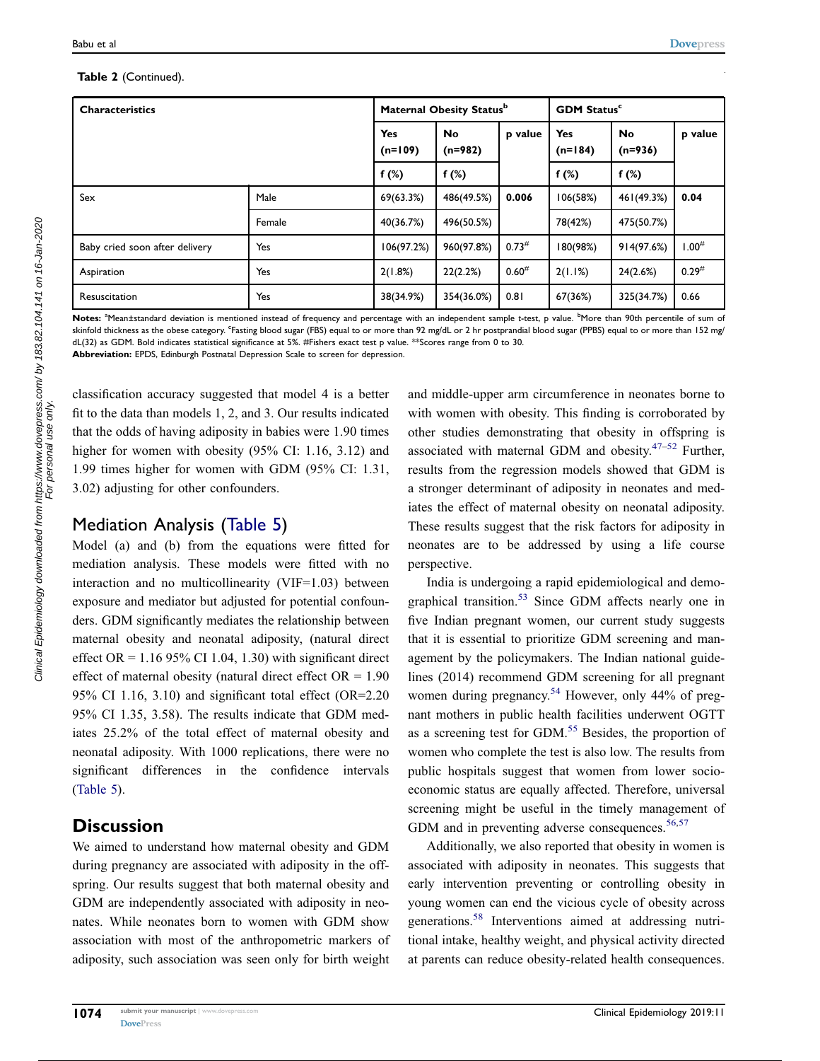#### Table 2 (Continued).

| <b>Characteristics</b>         |        |                         | Maternal Obesity Status <sup>b</sup> |            | <b>GDM Status<sup>c</sup></b> |                        |            |  |
|--------------------------------|--------|-------------------------|--------------------------------------|------------|-------------------------------|------------------------|------------|--|
|                                |        | <b>Yes</b><br>$(n=109)$ | <b>No</b><br>$(n=982)$               | p value    | <b>Yes</b><br>$(n=184)$       | <b>No</b><br>$(n=936)$ | p value    |  |
|                                |        | f $(*)$<br>f $(*)$      |                                      | f $(*)$    | f $(*)$                       |                        |            |  |
| Sex                            | Male   | 69(63.3%)               | 486(49.5%)                           | 0.006      | 106(58%)                      | 461(49.3%)             | 0.04       |  |
|                                | Female | 40(36.7%)               | 496(50.5%)                           |            | 78(42%)                       | 475(50.7%)             |            |  |
| Baby cried soon after delivery | Yes    | 106(97.2%)              | 960(97.8%)                           | $0.73^{#}$ | 180(98%)                      | 914(97.6%)             | $1.00^{#}$ |  |
| Aspiration                     | Yes    | 2(1.8%)                 | 22(2.2%)                             | $0.60^{#}$ | 2(1.1%)                       | 24(2.6%)               | $0.29^{#}$ |  |
| Resuscitation                  | Yes    | 38(34.9%)               | 354(36.0%)                           | 0.81       | 67(36%)                       | 325(34.7%)             | 0.66       |  |

Notes: <sup>a</sup>Mean±standard deviation is mentioned instead of frequency and percentage with an independent sample *t*-test, p value. <sup>b</sup>More than 90th percentile of sum of skinfold thickness as the obese category. <sup>c</sup>Fasting blood sugar (FBS) equal to or more than 92 mg/dL or 2 hr postprandial blood sugar (PPBS) equal to or more than 152 mg/ dL(32) as GDM. Bold indicates statistical significance at 5%. #Fishers exact test p value. \*\*Scores range from 0 to 30.

Abbreviation: EPDS, Edinburgh Postnatal Depression Scale to screen for depression.

classification accuracy suggested that model 4 is a better fit to the data than models 1, 2, and 3. Our results indicated that the odds of having adiposity in babies were 1.90 times higher for women with obesity (95% CI: 1.16, 3.12) and 1.99 times higher for women with GDM (95% CI: 1.31, 3.02) adjusting for other confounders.

# Mediation Analysis [\(Table 5](#page-10-0))

Model (a) and (b) from the equations were fitted for mediation analysis. These models were fitted with no interaction and no multicollinearity (VIF=1.03) between exposure and mediator but adjusted for potential confounders. GDM significantly mediates the relationship between maternal obesity and neonatal adiposity, (natural direct effect  $OR = 1.1695\%$  CI 1.04, 1.30) with significant direct effect of maternal obesity (natural direct effect  $OR = 1.90$ 95% CI 1.16, 3.10) and significant total effect (OR=2.20 95% CI 1.35, 3.58). The results indicate that GDM mediates 25.2% of the total effect of maternal obesity and neonatal adiposity. With 1000 replications, there were no significant differences in the confidence intervals [\(Table 5\)](#page-10-0).

# **Discussion**

We aimed to understand how maternal obesity and GDM during pregnancy are associated with adiposity in the offspring. Our results suggest that both maternal obesity and GDM are independently associated with adiposity in neonates. While neonates born to women with GDM show association with most of the anthropometric markers of adiposity, such association was seen only for birth weight <span id="page-7-0"></span>and middle-upper arm circumference in neonates borne to with women with obesity. This finding is corroborated by other studies demonstrating that obesity in offspring is associated with maternal GDM and obesity. $47-52$  $47-52$  Further, results from the regression models showed that GDM is a stronger determinant of adiposity in neonates and mediates the effect of maternal obesity on neonatal adiposity. These results suggest that the risk factors for adiposity in neonates are to be addressed by using a life course perspective.

<span id="page-7-2"></span><span id="page-7-1"></span>India is undergoing a rapid epidemiological and demo-graphical transition.<sup>[53](#page-12-11)</sup> Since GDM affects nearly one in five Indian pregnant women, our current study suggests that it is essential to prioritize GDM screening and management by the policymakers. The Indian national guidelines (2014) recommend GDM screening for all pregnant women during pregnancy.<sup>54</sup> However, only 44% of pregnant mothers in public health facilities underwent OGTT as a screening test for GDM.<sup>[55](#page-12-13)</sup> Besides, the proportion of women who complete the test is also low. The results from public hospitals suggest that women from lower socioeconomic status are equally affected. Therefore, universal screening might be useful in the timely management of GDM and in preventing adverse consequences.  $56,57$  $56,57$  $56,57$ 

<span id="page-7-5"></span><span id="page-7-4"></span><span id="page-7-3"></span>Additionally, we also reported that obesity in women is associated with adiposity in neonates. This suggests that early intervention preventing or controlling obesity in young women can end the vicious cycle of obesity across generations.[58](#page-12-16) Interventions aimed at addressing nutritional intake, healthy weight, and physical activity directed at parents can reduce obesity-related health consequences.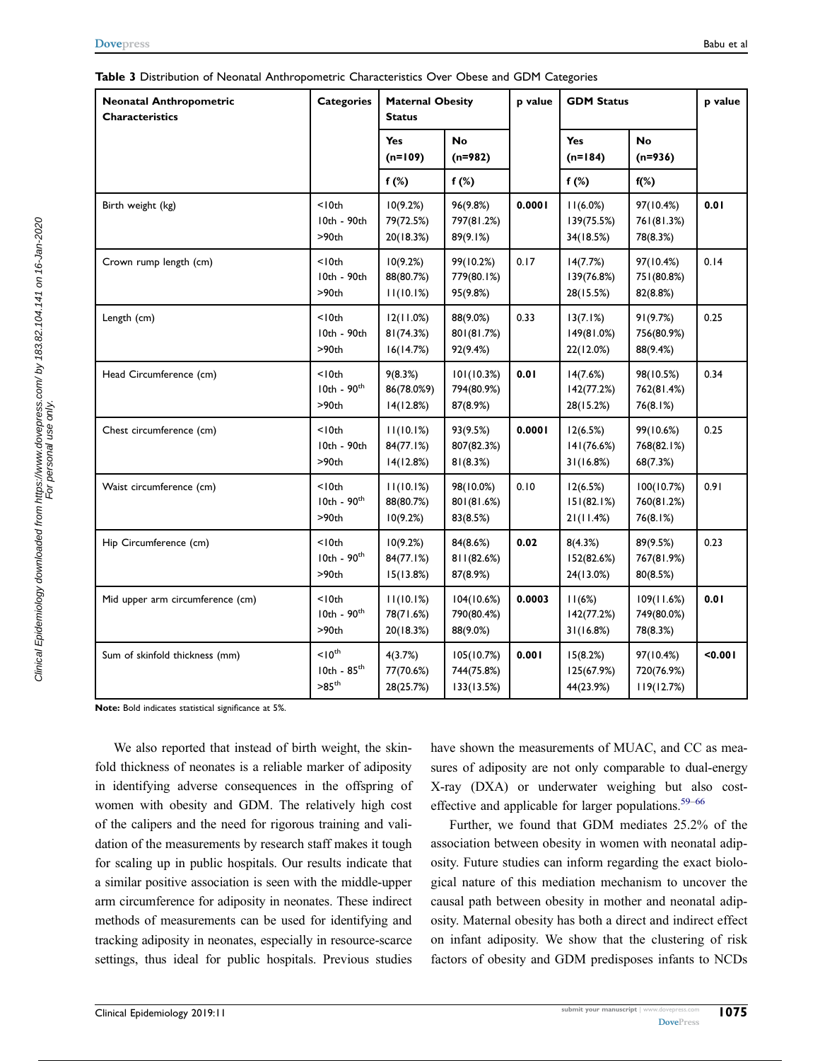<span id="page-8-0"></span>

| Table 3 Distribution of Neonatal Anthropometric Characteristics Over Obese and GDM Categories |  |  |  |  |
|-----------------------------------------------------------------------------------------------|--|--|--|--|
|-----------------------------------------------------------------------------------------------|--|--|--|--|

| <b>Neonatal Anthropometric</b><br><b>Characteristics</b> | <b>Categories</b>                                      | <b>Maternal Obesity</b><br><b>Status</b> |                                        | <b>GDM Status</b><br>p value |                                     |                                       | p value |
|----------------------------------------------------------|--------------------------------------------------------|------------------------------------------|----------------------------------------|------------------------------|-------------------------------------|---------------------------------------|---------|
|                                                          |                                                        | <b>Yes</b><br>$(n=109)$                  | <b>No</b><br>$(n=982)$                 |                              | Yes<br>$(n=184)$                    | <b>No</b><br>$(n=936)$                |         |
|                                                          |                                                        | $f(\%)$                                  | $f(\%)$                                |                              | $f(\%)$                             | $f(\%)$                               |         |
| Birth weight (kg)                                        | $<$   0th<br>10th - 90th<br>>90th                      | 10(9.2%)<br>79(72.5%)<br>20(18.3%)       | 96(9.8%)<br>797(81.2%)<br>89(9.1%)     | 0.0001                       | 11(6.0%)<br>139(75.5%)<br>34(18.5%) | 97(10.4%)<br>761(81.3%)<br>78(8.3%)   | 0.01    |
| Crown rump length (cm)                                   | $<$   0th<br>10th - 90th<br>>90th                      | 10(9.2%)<br>88(80.7%)<br>11(10.1%)       | 99(10.2%)<br>779(80.1%)<br>95(9.8%)    | 0.17                         | 14(7.7%)<br>139(76.8%)<br>28(15.5%) | 97(10.4%)<br>751(80.8%)<br>82(8.8%)   | 0.14    |
| Length (cm)                                              | $<$ $10th$<br>10th - 90th<br>>90th                     | 12(11.0%)<br>81(74.3%)<br>16(14.7%)      | 88(9.0%)<br>801(81.7%)<br>92(9.4%)     | 0.33                         | 13(7.1%)<br>149(81.0%)<br>22(12.0%) | 91(9.7%)<br>756(80.9%)<br>88(9.4%)    | 0.25    |
| Head Circumference (cm)                                  | $<$   0th<br>$10th - 90th$<br>>90th                    | 9(8.3%)<br>86(78.0%9)<br>14(12.8%)       | 101(10.3%)<br>794(80.9%)<br>87(8.9%)   | 0.01                         | 14(7.6%)<br>142(77.2%)<br>28(15.2%) | 98(10.5%)<br>762(81.4%)<br>76(8.1%)   | 0.34    |
| Chest circumference (cm)                                 | $<$   0th<br>10th - 90th<br>>90th                      | 11(10.1%)<br>84(77.1%)<br>14(12.8%)      | 93(9.5%)<br>807(82.3%)<br>81(8.3%)     | 0.0001                       | 12(6.5%)<br>141(76.6%)<br>31(16.8%) | 99(10.6%)<br>768(82.1%)<br>68(7.3%)   | 0.25    |
| Waist circumference (cm)                                 | $<$ 10th<br>$10th - 90th$<br>>90th                     | 11(10.1%)<br>88(80.7%)<br>10(9.2%)       | 98(10.0%)<br>801(81.6%)<br>83(8.5%)    | 0.10                         | 12(6.5%)<br>151(82.1%)<br>21(11.4%) | 100(10.7%)<br>760(81.2%)<br>76(8.1%)  | 0.91    |
| Hip Circumference (cm)                                   | $<$ 10th<br>$10th - 90th$<br>>90th                     | 10(9.2%)<br>84(77.1%)<br>15(13.8%)       | 84(8.6%)<br>811(82.6%)<br>87(8.9%)     | 0.02                         | 8(4.3%)<br>152(82.6%)<br>24(13.0%)  | 89(9.5%)<br>767(81.9%)<br>80(8.5%)    | 0.23    |
| Mid upper arm circumference (cm)                         | $<$   0th<br>$10th - 90th$<br>>90th                    | 11(10.1%)<br>78(71.6%)<br>20(18.3%)      | 104(10.6%)<br>790(80.4%)<br>88(9.0%)   | 0.0003                       | 11(6%)<br>142(77.2%)<br>31(16.8%)   | 109(11.6%)<br>749(80.0%)<br>78(8.3%)  | 0.01    |
| Sum of skinfold thickness (mm)                           | $10^{\text{th}}$<br>$10th - 85th$<br>$>85^{\text{th}}$ | 4(3.7%)<br>77(70.6%)<br>28(25.7%)        | 105(10.7%)<br>744(75.8%)<br>133(13.5%) | 0.001                        | 15(8.2%)<br>125(67.9%)<br>44(23.9%) | 97(10.4%)<br>720(76.9%)<br>119(12.7%) | $0.001$ |

Clinical Epidemiology downloaded from https://www.dovepress.com/ by 183.82.104.141 on 16-Jan-2020<br>For personal use only. Clinical Epidemiology downloaded from https://www.dovepress.com/ by 183.82.104.141 on 16-Jan-2020 For personal use only.

Note: Bold indicates statistical significance at 5%.

We also reported that instead of birth weight, the skinfold thickness of neonates is a reliable marker of adiposity in identifying adverse consequences in the offspring of women with obesity and GDM. The relatively high cost of the calipers and the need for rigorous training and validation of the measurements by research staff makes it tough for scaling up in public hospitals. Our results indicate that a similar positive association is seen with the middle-upper arm circumference for adiposity in neonates. These indirect methods of measurements can be used for identifying and tracking adiposity in neonates, especially in resource-scarce settings, thus ideal for public hospitals. Previous studies

have shown the measurements of MUAC, and CC as measures of adiposity are not only comparable to dual-energy X-ray (DXA) or underwater weighing but also cost-effective and applicable for larger populations.<sup>59–[66](#page-12-18)</sup>

<span id="page-8-1"></span>Further, we found that GDM mediates 25.2% of the association between obesity in women with neonatal adiposity. Future studies can inform regarding the exact biological nature of this mediation mechanism to uncover the causal path between obesity in mother and neonatal adiposity. Maternal obesity has both a direct and indirect effect on infant adiposity. We show that the clustering of risk factors of obesity and GDM predisposes infants to NCDs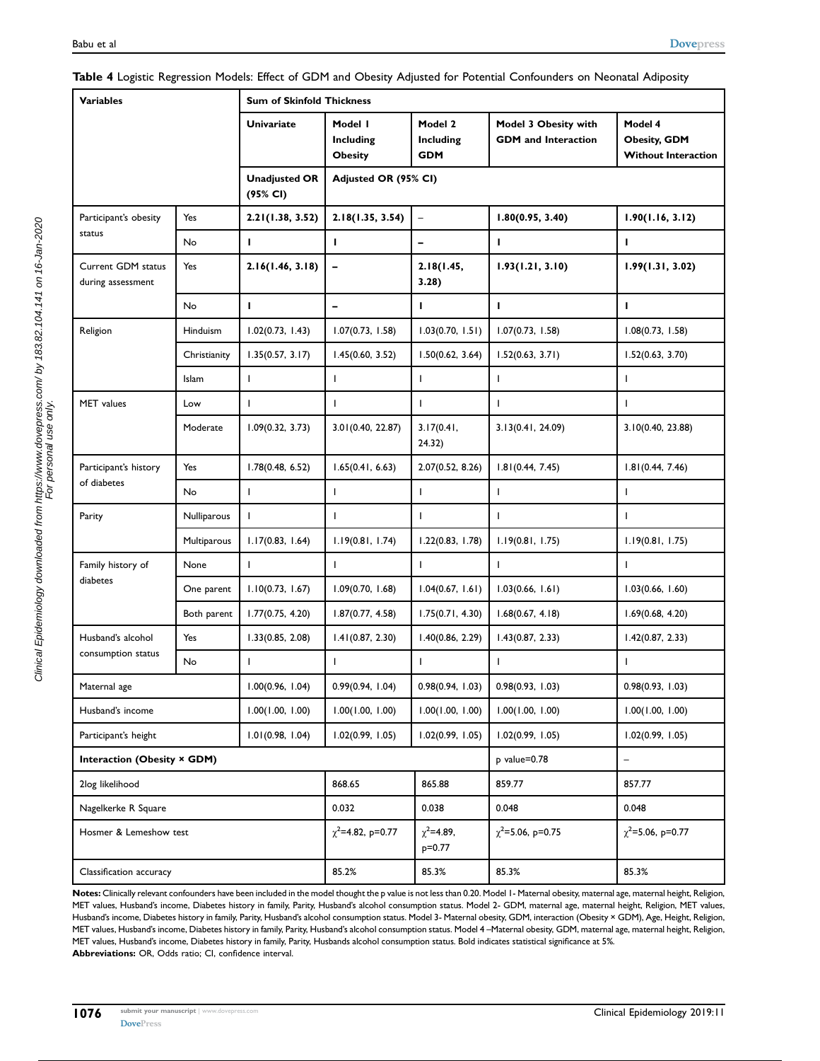| <b>Variables</b>                        |              | <b>Sum of Skinfold Thickness</b> |                                        |                                    |                                                    |                                                              |  |  |
|-----------------------------------------|--------------|----------------------------------|----------------------------------------|------------------------------------|----------------------------------------------------|--------------------------------------------------------------|--|--|
|                                         |              | <b>Univariate</b>                | Model I<br>Including<br><b>Obesity</b> | Model 2<br>Including<br><b>GDM</b> | Model 3 Obesity with<br><b>GDM</b> and Interaction | Model 4<br><b>Obesity, GDM</b><br><b>Without Interaction</b> |  |  |
|                                         |              | <b>Unadjusted OR</b><br>(95% CI) | Adjusted OR (95% CI)                   |                                    |                                                    |                                                              |  |  |
| Participant's obesity                   | Yes          | 2.21(1.38, 3.52)                 | 2.18(1.35, 3.54)                       | $\overline{\phantom{a}}$           | 1.80(0.95, 3.40)                                   | 1.90(1.16, 3.12)                                             |  |  |
| status                                  | No           | I.                               | J.                                     | -                                  | T                                                  | г                                                            |  |  |
| Current GDM status<br>during assessment | Yes          | 2.16(1.46, 3.18)                 | $\qquad \qquad \blacksquare$           | 2.18(1.45,<br>3.28)                | 1.93(1.21, 3.10)                                   | 1.99(1.31, 3.02)                                             |  |  |
|                                         | <b>No</b>    | L.                               | $\overline{a}$                         | I.                                 | L                                                  | г                                                            |  |  |
| Religion                                | Hinduism     | 1.02(0.73, 1.43)                 | 1.07(0.73, 1.58)                       | 1.03(0.70, 1.51)                   | 1.07(0.73, 1.58)                                   | 1.08(0.73, 1.58)                                             |  |  |
|                                         | Christianity | 1.35(0.57, 3.17)                 | 1.45(0.60, 3.52)                       | 1.50(0.62, 3.64)                   | 1.52(0.63, 3.71)                                   | 1.52(0.63, 3.70)                                             |  |  |
|                                         | <b>Islam</b> | $\mathsf{L}$                     | J.                                     | T                                  | T                                                  | L                                                            |  |  |
| MET values                              | Low          | T                                | T                                      | $\mathbf{I}$                       | $\mathsf{L}$                                       | L                                                            |  |  |
|                                         | Moderate     | 1.09(0.32, 3.73)                 | 3.01(0.40, 22.87)                      | 3.17(0.41,<br>24.32)               | 3.13(0.41, 24.09)                                  | 3.10(0.40, 23.88)                                            |  |  |
| Participant's history                   | Yes          | 1.78(0.48, 6.52)                 | 1.65(0.41, 6.63)                       | 2.07(0.52, 8.26)                   | 1.81(0.44, 7.45)                                   | 1.81(0.44, 7.46)                                             |  |  |
| of diabetes                             | <b>No</b>    | $\mathbf{I}$                     | $\mathbf{I}$                           | T                                  | T                                                  | L                                                            |  |  |
| Parity                                  | Nulliparous  | $\mathbf{I}$                     | T                                      | $\mathbf{I}$                       | $\mathbf{I}$                                       | L                                                            |  |  |
|                                         | Multiparous  | 1.17(0.83, 1.64)                 | 1.19(0.81, 1.74)                       | 1.22(0.83, 1.78)                   | 1.19(0.81, 1.75)                                   | 1.19(0.81, 1.75)                                             |  |  |
| Family history of                       | None         | ı                                | $\mathbf{I}$                           | T                                  | T                                                  | т                                                            |  |  |
| diabetes                                | One parent   | 1.10(0.73, 1.67)                 | 1.09(0.70, 1.68)                       | 1.04(0.67, 1.61)                   | 1.03(0.66, 1.61)                                   | 1.03(0.66, 1.60)                                             |  |  |
|                                         | Both parent  | 1.77(0.75, 4.20)                 | 1.87(0.77, 4.58)                       | 1.75(0.71, 4.30)                   | 1.68(0.67, 4.18)                                   | 1.69(0.68, 4.20)                                             |  |  |
| Husband's alcohol                       | Yes          | 1.33(0.85, 2.08)                 | 1.41(0.87, 2.30)                       | 1.40(0.86, 2.29)                   | 1.43(0.87, 2.33)                                   | 1.42(0.87, 2.33)                                             |  |  |
| consumption status                      | No           |                                  | J.                                     | ı                                  |                                                    |                                                              |  |  |
| Maternal age                            |              | 1.00(0.96, 1.04)                 | 0.99(0.94, 1.04)                       | 0.98(0.94, 1.03)                   | 0.98(0.93, 1.03)                                   | 0.98(0.93, 1.03)                                             |  |  |
| Husband's income                        |              | 1.00(1.00, 1.00)                 | 1.00(1.00, 1.00)                       | 1.00(1.00, 1.00)                   | 1.00(1.00, 1.00)                                   | 1.00(1.00, 1.00)                                             |  |  |
| Participant's height                    |              | 1.01(0.98, 1.04)                 | 1.02(0.99, 1.05)                       | 1.02(0.99, 1.05)                   | 1.02(0.99, 1.05)                                   | 1.02(0.99, 1.05)                                             |  |  |
| Interaction (Obesity × GDM)             |              |                                  |                                        |                                    | p value=0.78                                       |                                                              |  |  |
| 2log likelihood                         |              |                                  | 868.65                                 | 865.88                             | 859.77                                             | 857.77                                                       |  |  |
| Nagelkerke R Square                     |              |                                  | 0.032                                  | 0.038                              | 0.048                                              | 0.048                                                        |  |  |
| Hosmer & Lemeshow test                  |              |                                  | $\chi^2$ =4.82, p=0.77                 | $\chi^2$ =4.89,<br>p=0.77          | $\chi^2$ =5.06, p=0.75                             | $\chi^2$ =5.06, p=0.77                                       |  |  |
| Classification accuracy                 |              |                                  | 85.2%                                  | 85.3%                              | 85.3%                                              | 85.3%                                                        |  |  |

#### <span id="page-9-0"></span>Table 4 Logistic Regression Models: Effect of GDM and Obesity Adjusted for Potential Confounders on Neonatal Adiposity

Notes: Clinically relevant confounders have been included in the model thought the p value is not less than 0.20. Model 1- Maternal obesity, maternal age, maternal height, Religion, MET values, Husband's income, Diabetes history in family, Parity, Husband's alcohol consumption status. Model 2- GDM, maternal age, maternal height, Religion, MET values, Husband's income, Diabetes history in family, Parity, Husband's alcohol consumption status. Model 3- Maternal obesity, GDM, interaction (Obesity × GDM), Age, Height, Religion, MET values, Husband's income, Diabetes history in family, Parity, Husband's alcohol consumption status. Model 4 –Maternal obesity, GDM, maternal age, maternal height, Religion, MET values, Husband's income, Diabetes history in family, Parity, Husbands alcohol consumption status. Bold indicates statistical significance at 5%. Abbreviations: OR, Odds ratio; CI, confidence interval.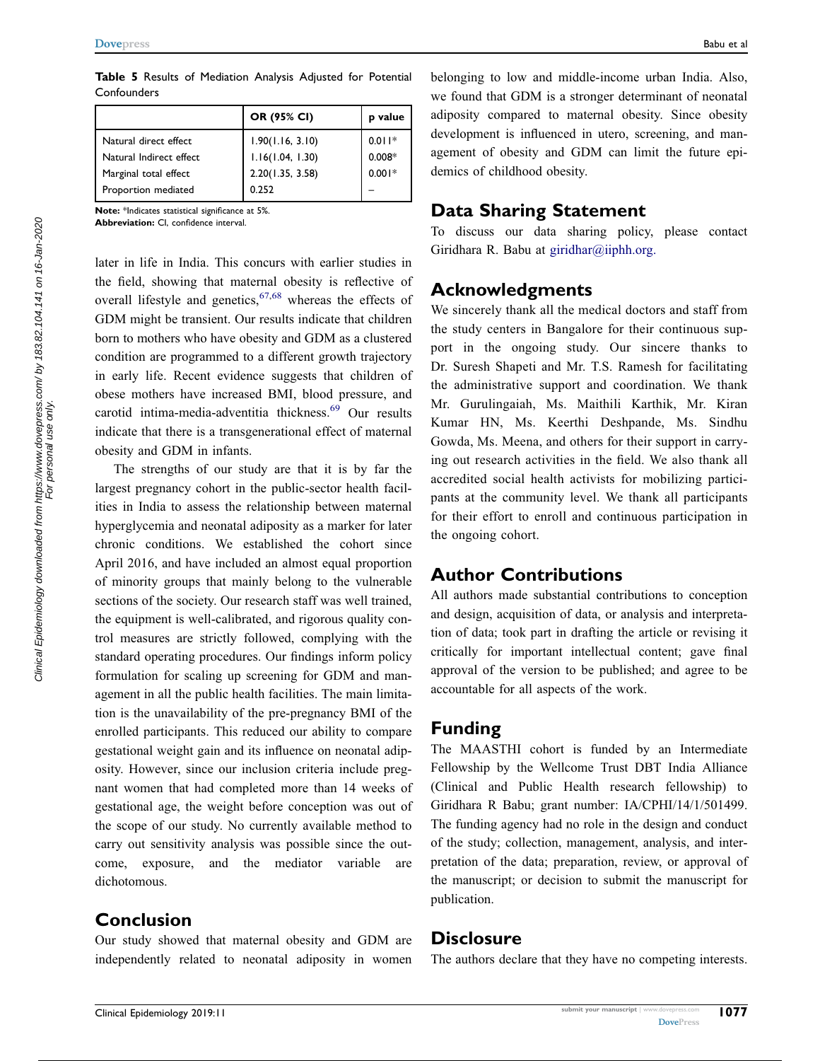<span id="page-10-0"></span>Table 5 Results of Mediation Analysis Adjusted for Potential **Confounders** 

|                         | OR (95% CI)      | p value  |
|-------------------------|------------------|----------|
| Natural direct effect   | 1.90(1.16, 3.10) | $0.011*$ |
| Natural Indirect effect | 1.16(1.04, 1.30) | $0.008*$ |
| Marginal total effect   | 2.20(1.35, 3.58) | $0.001*$ |
| Proportion mediated     | 0.252            |          |

Note: \*Indicates statistical significance at 5%.

Abbreviation: CI, confidence interval.

<span id="page-10-1"></span>later in life in India. This concurs with earlier studies in the field, showing that maternal obesity is reflective of overall lifestyle and genetics,  $67,68$  $67,68$  whereas the effects of GDM might be transient. Our results indicate that children born to mothers who have obesity and GDM as a clustered condition are programmed to a different growth trajectory in early life. Recent evidence suggests that children of obese mothers have increased BMI, blood pressure, and carotid intima-media-adventitia thickness.<sup>[69](#page-12-21)</sup> Our results indicate that there is a transgenerational effect of maternal obesity and GDM in infants.

<span id="page-10-2"></span>The strengths of our study are that it is by far the largest pregnancy cohort in the public-sector health facilities in India to assess the relationship between maternal hyperglycemia and neonatal adiposity as a marker for later chronic conditions. We established the cohort since April 2016, and have included an almost equal proportion of minority groups that mainly belong to the vulnerable sections of the society. Our research staff was well trained, the equipment is well-calibrated, and rigorous quality control measures are strictly followed, complying with the standard operating procedures. Our findings inform policy formulation for scaling up screening for GDM and management in all the public health facilities. The main limitation is the unavailability of the pre-pregnancy BMI of the enrolled participants. This reduced our ability to compare gestational weight gain and its influence on neonatal adiposity. However, since our inclusion criteria include pregnant women that had completed more than 14 weeks of gestational age, the weight before conception was out of the scope of our study. No currently available method to carry out sensitivity analysis was possible since the outcome, exposure, and the mediator variable are dichotomous.

## **Conclusion**

Our study showed that maternal obesity and GDM are independently related to neonatal adiposity in women belonging to low and middle-income urban India. Also, we found that GDM is a stronger determinant of neonatal adiposity compared to maternal obesity. Since obesity development is influenced in utero, screening, and management of obesity and GDM can limit the future epidemics of childhood obesity.

## Data Sharing Statement

To discuss our data sharing policy, please contact Giridhara R. Babu at giridhar@iiphh.org.

# Acknowledgments

We sincerely thank all the medical doctors and staff from the study centers in Bangalore for their continuous support in the ongoing study. Our sincere thanks to Dr. Suresh Shapeti and Mr. T.S. Ramesh for facilitating the administrative support and coordination. We thank Mr. Gurulingaiah, Ms. Maithili Karthik, Mr. Kiran Kumar HN, Ms. Keerthi Deshpande, Ms. Sindhu Gowda, Ms. Meena, and others for their support in carrying out research activities in the field. We also thank all accredited social health activists for mobilizing participants at the community level. We thank all participants for their effort to enroll and continuous participation in the ongoing cohort.

# Author Contributions

All authors made substantial contributions to conception and design, acquisition of data, or analysis and interpretation of data; took part in drafting the article or revising it critically for important intellectual content; gave final approval of the version to be published; and agree to be accountable for all aspects of the work.

# Funding

The MAASTHI cohort is funded by an Intermediate Fellowship by the Wellcome Trust DBT India Alliance (Clinical and Public Health research fellowship) to Giridhara R Babu; grant number: IA/CPHI/14/1/501499. The funding agency had no role in the design and conduct of the study; collection, management, analysis, and interpretation of the data; preparation, review, or approval of the manuscript; or decision to submit the manuscript for publication.

## **Disclosure**

The authors declare that they have no competing interests.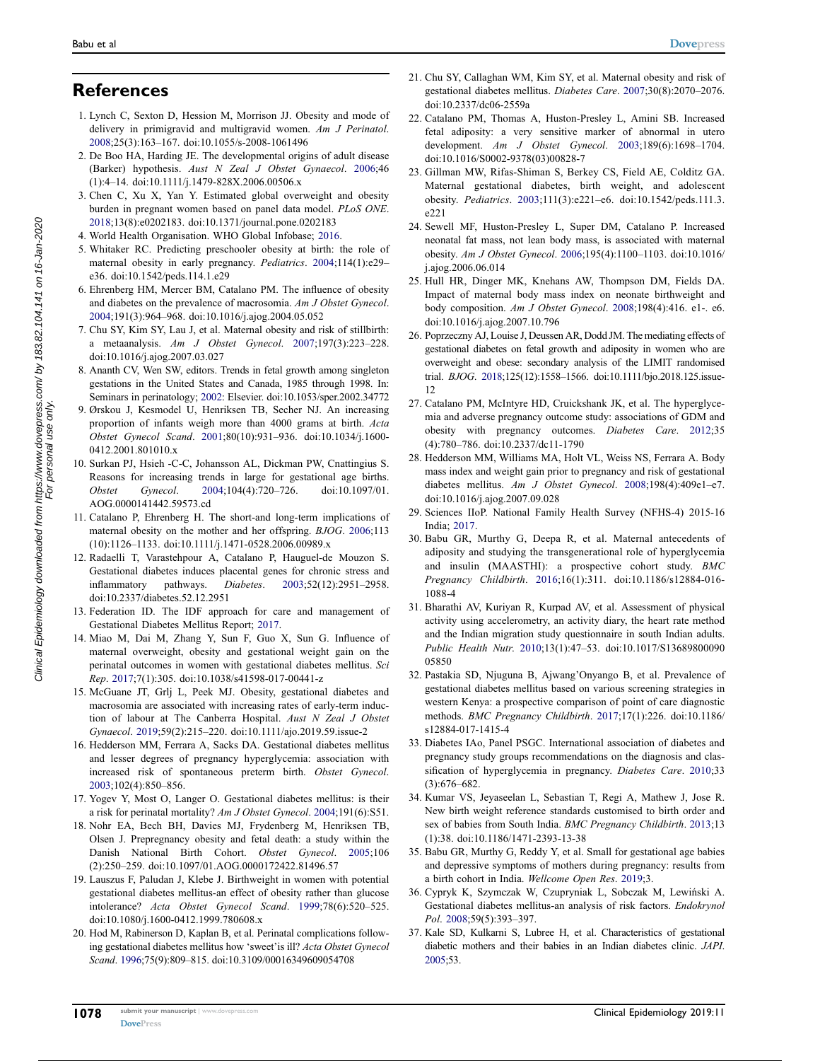# **References**

- <span id="page-11-0"></span>1. Lynch C, Sexton D, Hession M, Morrison JJ. Obesity and mode of delivery in primigravid and multigravid women. Am J Perinatol. [2008;](#page-0-9)25(3):163–167. doi:[10.1055/s-2008-1061496](https://doi.org/10.1055/s-2008-1061496)
- <span id="page-11-1"></span>2. De Boo HA, Harding JE. The developmental origins of adult disease (Barker) hypothesis. Aust N Zeal J Obstet Gynaecol. [2006](#page-0-9);46 (1):4–14. doi:[10.1111/j.1479-828X.2006.00506.x](https://doi.org/10.1111/j.1479-828X.2006.00506.x)
- <span id="page-11-2"></span>3. Chen C, Xu X, Yan Y. Estimated global overweight and obesity burden in pregnant women based on panel data model. PLoS ONE. [2018;](#page-0-10)13(8):e0202183. doi:[10.1371/journal.pone.0202183](https://doi.org/10.1371/journal.pone.0202183)
- <span id="page-11-3"></span>4. World Health Organisation. WHO Global Infobase; [2016.](#page-0-10)
- <span id="page-11-4"></span>5. Whitaker RC. Predicting preschooler obesity at birth: the role of maternal obesity in early pregnancy. Pediatrics. [2004;](#page-1-0)114(1):e29– e36. doi:[10.1542/peds.114.1.e29](https://doi.org/10.1542/peds.114.1.e29)
- <span id="page-11-5"></span>6. Ehrenberg HM, Mercer BM, Catalano PM. The influence of obesity and diabetes on the prevalence of macrosomia. Am J Obstet Gynecol. [2004;](#page-1-1)191(3):964–968. doi:[10.1016/j.ajog.2004.05.052](https://doi.org/10.1016/j.ajog.2004.05.052)
- 7. Chu SY, Kim SY, Lau J, et al. Maternal obesity and risk of stillbirth: a metaanalysis. Am J Obstet Gynecol. 2007;197(3):223–228. doi:[10.1016/j.ajog.2007.03.027](https://doi.org/10.1016/j.ajog.2007.03.027)
- 8. Ananth CV, Wen SW, editors. Trends in fetal growth among singleton gestations in the United States and Canada, 1985 through 1998. In: Seminars in perinatology; 2002: Elsevier. doi:[10.1053/sper.2002.34772](https://doi.org/10.1053/sper.2002.34772)
- 9. Ørskou J, Kesmodel U, Henriksen TB, Secher NJ. An increasing proportion of infants weigh more than 4000 grams at birth. Acta Obstet Gynecol Scand. 2001;80(10):931–936. doi:[10.1034/j.1600-](https://doi.org/10.1034/j.1600-0412.2001.801010.x) [0412.2001.801010.x](https://doi.org/10.1034/j.1600-0412.2001.801010.x)
- <span id="page-11-6"></span>10. Surkan PJ, Hsieh -C-C, Johansson AL, Dickman PW, Cnattingius S. Reasons for increasing trends in large for gestational age births. Obstet Gynecol. [2004;](#page-1-2)104(4):720–726. doi:[10.1097/01.](https://doi.org/10.1097/01.AOG.0000141442.59573.cd) [AOG.0000141442.59573.cd](https://doi.org/10.1097/01.AOG.0000141442.59573.cd)
- <span id="page-11-7"></span>11. Catalano P, Ehrenberg H. The short-and long-term implications of maternal obesity on the mother and her offspring. BJOG. [2006;](#page-1-3)113 (10):1126–1133. doi:[10.1111/j.1471-0528.2006.00989.x](https://doi.org/10.1111/j.1471-0528.2006.00989.x)
- <span id="page-11-8"></span>12. Radaelli T, Varastehpour A, Catalano P, Hauguel-de Mouzon S. Gestational diabetes induces placental genes for chronic stress and inflammatory pathways. Diabetes. [2003;](#page-1-4)52(12):2951–2958. doi:[10.2337/diabetes.52.12.2951](https://doi.org/10.2337/diabetes.52.12.2951)
- <span id="page-11-9"></span>13. Federation ID. The IDF approach for care and management of Gestational Diabetes Mellitus Report; [2017](#page-1-5).
- <span id="page-11-10"></span>14. Miao M, Dai M, Zhang Y, Sun F, Guo X, Sun G. Influence of maternal overweight, obesity and gestational weight gain on the perinatal outcomes in women with gestational diabetes mellitus. Sci Rep. [2017;](#page-1-6)7(1):305. doi:[10.1038/s41598-017-00441-z](https://doi.org/10.1038/s41598-017-00441-z)
- 15. McGuane JT, Grlj L, Peek MJ. Obesity, gestational diabetes and macrosomia are associated with increasing rates of early-term induction of labour at The Canberra Hospital. Aust N Zeal J Obstet Gynaecol. 2019;59(2):215–220. doi:[10.1111/ajo.2019.59.issue-2](https://doi.org/10.1111/ajo.2019.59.issue-2)
- 16. Hedderson MM, Ferrara A, Sacks DA. Gestational diabetes mellitus and lesser degrees of pregnancy hyperglycemia: association with increased risk of spontaneous preterm birth. Obstet Gynecol. 2003;102(4):850–856.
- 17. Yogev Y, Most O, Langer O. Gestational diabetes mellitus: is their a risk for perinatal mortality? Am J Obstet Gynecol. 2004;191(6):S51.
- 18. Nohr EA, Bech BH, Davies MJ, Frydenberg M, Henriksen TB, Olsen J. Prepregnancy obesity and fetal death: a study within the Danish National Birth Cohort. Obstet Gynecol. 2005;106 (2):250–259. doi:[10.1097/01.AOG.0000172422.81496.57](https://doi.org/10.1097/01.AOG.0000172422.81496.57)
- 19. Lauszus F, Paludan J, Klebe J. Birthweight in women with potential gestational diabetes mellitus-an effect of obesity rather than glucose intolerance? Acta Obstet Gynecol Scand. 1999;78(6):520–525. doi:[10.1080/j.1600-0412.1999.780608.x](https://doi.org/10.1080/j.1600-0412.1999.780608.x)
- <span id="page-11-11"></span>20. Hod M, Rabinerson D, Kaplan B, et al. Perinatal complications following gestational diabetes mellitus how 'sweet'is ill? Acta Obstet Gynecol Scand. [1996;](#page-1-6)75(9):809–815. doi:[10.3109/00016349609054708](https://doi.org/10.3109/00016349609054708)
- <span id="page-11-12"></span>21. Chu SY, Callaghan WM, Kim SY, et al. Maternal obesity and risk of gestational diabetes mellitus. Diabetes Care. [2007;](#page-1-7)30(8):2070–2076. doi:[10.2337/dc06-2559a](https://doi.org/10.2337/dc06-2559a)
- <span id="page-11-13"></span>22. Catalano PM, Thomas A, Huston-Presley L, Amini SB. Increased fetal adiposity: a very sensitive marker of abnormal in utero development. Am J Obstet Gynecol. [2003;](#page-1-8)189(6):1698–1704. doi:[10.1016/S0002-9378\(03\)00828-7](https://doi.org/10.1016/S0002-9378(03)00828-7)
- <span id="page-11-14"></span>23. Gillman MW, Rifas-Shiman S, Berkey CS, Field AE, Colditz GA. Maternal gestational diabetes, birth weight, and adolescent obesity. Pediatrics. [2003](#page-1-9);111(3):e221–e6. doi:[10.1542/peds.111.3.](https://doi.org/10.1542/peds.111.3.e221) [e221](https://doi.org/10.1542/peds.111.3.e221)
- <span id="page-11-15"></span>24. Sewell MF, Huston-Presley L, Super DM, Catalano P. Increased neonatal fat mass, not lean body mass, is associated with maternal obesity. Am J Obstet Gynecol. [2006;](#page-1-1)195(4):1100–1103. doi:[10.1016/](https://doi.org/10.1016/j.ajog.2006.06.014) [j.ajog.2006.06.014](https://doi.org/10.1016/j.ajog.2006.06.014)
- <span id="page-11-16"></span>25. Hull HR, Dinger MK, Knehans AW, Thompson DM, Fields DA. Impact of maternal body mass index on neonate birthweight and body composition. Am J Obstet Gynecol. [2008;](#page-1-1)198(4):416. e1-. e6. doi:[10.1016/j.ajog.2007.10.796](https://doi.org/10.1016/j.ajog.2007.10.796)
- <span id="page-11-17"></span>26. Poprzeczny AJ, Louise J, Deussen AR, Dodd JM. The mediating effects of gestational diabetes on fetal growth and adiposity in women who are overweight and obese: secondary analysis of the LIMIT randomised trial. BJOG. [2018](#page-1-10);125(12):1558–1566. doi:[10.1111/bjo.2018.125.issue-](https://doi.org/10.1111/bjo.2018.125.issue-12)[12](https://doi.org/10.1111/bjo.2018.125.issue-12)
- <span id="page-11-18"></span>27. Catalano PM, McIntyre HD, Cruickshank JK, et al. The hyperglycemia and adverse pregnancy outcome study: associations of GDM and obesity with pregnancy outcomes. Diabetes Care. [2012](#page-1-10);35 (4):780–786. doi:[10.2337/dc11-1790](https://doi.org/10.2337/dc11-1790)
- <span id="page-11-19"></span>28. Hedderson MM, Williams MA, Holt VL, Weiss NS, Ferrara A. Body mass index and weight gain prior to pregnancy and risk of gestational diabetes mellitus. Am J Obstet Gynecol. [2008;](#page-1-11)198(4):409e1–e7. doi:[10.1016/j.ajog.2007.09.028](https://doi.org/10.1016/j.ajog.2007.09.028)
- <span id="page-11-20"></span>29. Sciences IIoP. National Family Health Survey (NFHS-4) 2015-16 India; [2017.](#page-1-12)
- <span id="page-11-21"></span>30. Babu GR, Murthy G, Deepa R, et al. Maternal antecedents of adiposity and studying the transgenerational role of hyperglycemia and insulin (MAASTHI): a prospective cohort study. BMC Pregnancy Childbirth. [2016;](#page-1-13)16(1):311. doi:[10.1186/s12884-016-](https://doi.org/10.1186/s12884-016-1088-4) [1088-4](https://doi.org/10.1186/s12884-016-1088-4)
- <span id="page-11-22"></span>31. Bharathi AV, Kuriyan R, Kurpad AV, et al. Assessment of physical activity using accelerometry, an activity diary, the heart rate method and the Indian migration study questionnaire in south Indian adults. Public Health Nutr. [2010](#page-1-14);13(1):47–53. doi:[10.1017/S13689800090](https://doi.org/10.1017/S1368980009005850) [05850](https://doi.org/10.1017/S1368980009005850)
- <span id="page-11-23"></span>32. Pastakia SD, Njuguna B, Ajwang'Onyango B, et al. Prevalence of gestational diabetes mellitus based on various screening strategies in western Kenya: a prospective comparison of point of care diagnostic methods. BMC Pregnancy Childbirth. [2017;](#page-2-0)17(1):226. doi:[10.1186/](https://doi.org/10.1186/s12884-017-1415-4) [s12884-017-1415-4](https://doi.org/10.1186/s12884-017-1415-4)
- <span id="page-11-24"></span>33. Diabetes IAo, Panel PSGC. International association of diabetes and pregnancy study groups recommendations on the diagnosis and classification of hyperglycemia in pregnancy. Diabetes Care. [2010](#page-2-1);33 (3):676–682.
- <span id="page-11-25"></span>34. Kumar VS, Jeyaseelan L, Sebastian T, Regi A, Mathew J, Jose R. New birth weight reference standards customised to birth order and sex of babies from South India. BMC Pregnancy Childbirth. [2013](#page-2-2);13 (1):38. doi:[10.1186/1471-2393-13-38](https://doi.org/10.1186/1471-2393-13-38)
- <span id="page-11-26"></span>35. Babu GR, Murthy G, Reddy Y, et al. Small for gestational age babies and depressive symptoms of mothers during pregnancy: results from a birth cohort in India. Wellcome Open Res. [2019;](#page-2-3)3.
- <span id="page-11-27"></span>36. Cypryk K, Szymczak W, Czupryniak L, Sobczak M, Lewiński A. Gestational diabetes mellitus-an analysis of risk factors. Endokrynol Pol. [2008](#page-2-4);59(5):393–397.
- <span id="page-11-28"></span>37. Kale SD, Kulkarni S, Lubree H, et al. Characteristics of gestational diabetic mothers and their babies in an Indian diabetes clinic. JAPI. [2005;](#page-2-5)53.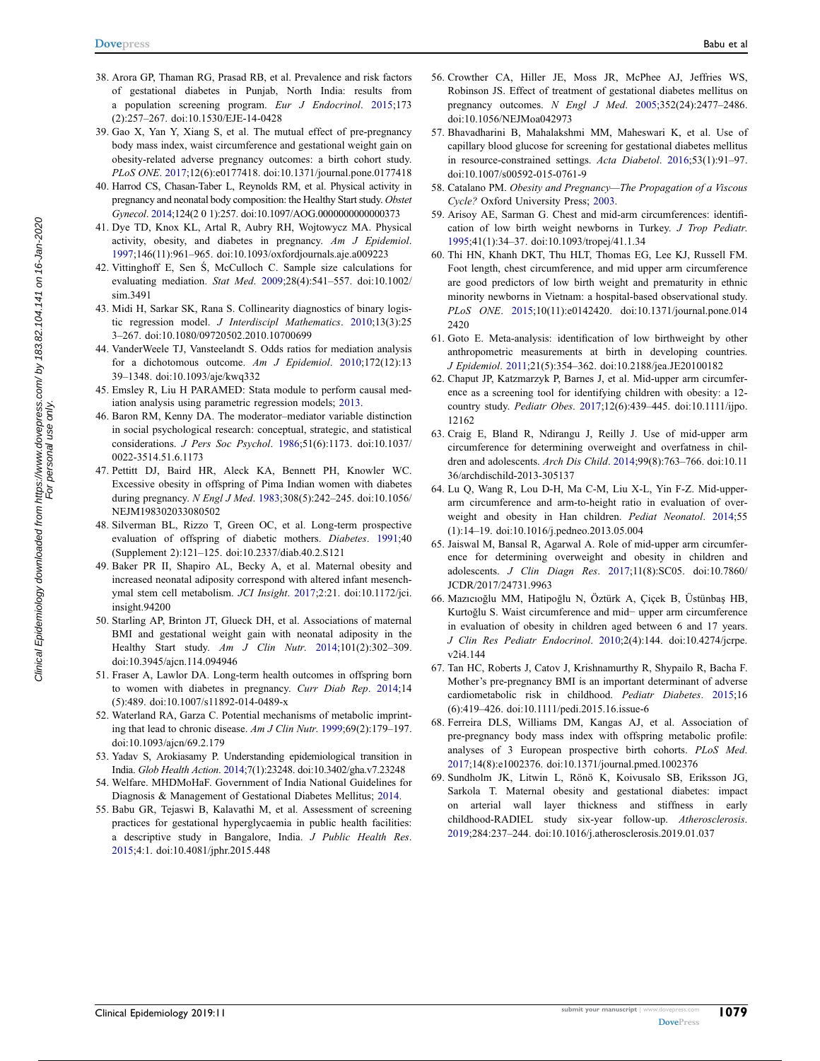- <span id="page-12-0"></span>38. Arora GP, Thaman RG, Prasad RB, et al. Prevalence and risk factors of gestational diabetes in Punjab, North India: results from a population screening program. Eur J Endocrinol. [2015](#page-2-5);173 (2):257–267. doi:[10.1530/EJE-14-0428](https://doi.org/10.1530/EJE-14-0428)
- <span id="page-12-1"></span>39. Gao X, Yan Y, Xiang S, et al. The mutual effect of pre-pregnancy body mass index, waist circumference and gestational weight gain on obesity-related adverse pregnancy outcomes: a birth cohort study. PLoS ONE. [2017](#page-2-6);12(6):e0177418. doi:[10.1371/journal.pone.0177418](https://doi.org/10.1371/journal.pone.0177418)
- <span id="page-12-2"></span>40. Harrod CS, Chasan-Taber L, Reynolds RM, et al. Physical activity in pregnancy and neonatal body composition: the Healthy Start study. Obstet Gynecol. [2014](#page-2-7);124(2 0 1):257. doi:[10.1097/AOG.0000000000000373](https://doi.org/10.1097/AOG.0000000000000373)
- <span id="page-12-3"></span>41. Dye TD, Knox KL, Artal R, Aubry RH, Wojtowycz MA. Physical activity, obesity, and diabetes in pregnancy. Am J Epidemiol. [1997;](#page-2-7)146(11):961–965. doi:[10.1093/oxfordjournals.aje.a009223](https://doi.org/10.1093/oxfordjournals.aje.a009223)
- <span id="page-12-4"></span>42. Vittinghoff E, Sen Ś, McCulloch C. Sample size calculations for evaluating mediation. Stat Med. [2009](#page-2-8);28(4):541–557. doi:[10.1002/](https://doi.org/10.1002/sim.3491) [sim.3491](https://doi.org/10.1002/sim.3491)
- <span id="page-12-5"></span>43. Midi H, Sarkar SK, Rana S. Collinearity diagnostics of binary logistic regression model. J Interdiscipl Mathematics. [2010;](#page-3-0)13(3):25 3–267. doi:[10.1080/09720502.2010.10700699](https://doi.org/10.1080/09720502.2010.10700699)
- <span id="page-12-6"></span>44. VanderWeele TJ, Vansteelandt S. Odds ratios for mediation analysis for a dichotomous outcome. Am J Epidemiol. [2010;](#page-3-1)172(12):13 39–1348. doi:[10.1093/aje/kwq332](https://doi.org/10.1093/aje/kwq332)
- <span id="page-12-7"></span>45. Emsley R, Liu H PARAMED: Stata module to perform causal mediation analysis using parametric regression models; [2013](#page-3-1).
- <span id="page-12-8"></span>46. Baron RM, Kenny DA. The moderator–mediator variable distinction in social psychological research: conceptual, strategic, and statistical considerations. J Pers Soc Psychol. [1986;](#page-3-2)51(6):1173. doi:[10.1037/](https://doi.org/10.1037/0022-3514.51.6.1173) [0022-3514.51.6.1173](https://doi.org/10.1037/0022-3514.51.6.1173)
- <span id="page-12-9"></span>47. Pettitt DJ, Baird HR, Aleck KA, Bennett PH, Knowler WC. Excessive obesity in offspring of Pima Indian women with diabetes during pregnancy. N Engl J Med. [1983](#page-7-0);308(5):242–245. doi:[10.1056/](https://doi.org/10.1056/NEJM198302033080502) [NEJM198302033080502](https://doi.org/10.1056/NEJM198302033080502)
- 48. Silverman BL, Rizzo T, Green OC, et al. Long-term prospective evaluation of offspring of diabetic mothers. Diabetes. 1991;40 (Supplement 2):121–125. doi:[10.2337/diab.40.2.S121](https://doi.org/10.2337/diab.40.2.S121)
- 49. Baker PR II, Shapiro AL, Becky A, et al. Maternal obesity and increased neonatal adiposity correspond with altered infant mesenchymal stem cell metabolism. JCI Insight. 2017;2:21. doi:[10.1172/jci.](https://doi.org/10.1172/jci.insight.94200) [insight.94200](https://doi.org/10.1172/jci.insight.94200)
- 50. Starling AP, Brinton JT, Glueck DH, et al. Associations of maternal BMI and gestational weight gain with neonatal adiposity in the Healthy Start study. Am J Clin Nutr. 2014;101(2):302–309. doi:[10.3945/ajcn.114.094946](https://doi.org/10.3945/ajcn.114.094946)
- 51. Fraser A, Lawlor DA. Long-term health outcomes in offspring born to women with diabetes in pregnancy. Curr Diab Rep. 2014;14 (5):489. doi:[10.1007/s11892-014-0489-x](https://doi.org/10.1007/s11892-014-0489-x)
- <span id="page-12-10"></span>52. Waterland RA, Garza C. Potential mechanisms of metabolic imprinting that lead to chronic disease. Am J Clin Nutr. [1999;](#page-7-0)69(2):179–197. doi:[10.1093/ajcn/69.2.179](https://doi.org/10.1093/ajcn/69.2.179)
- <span id="page-12-11"></span>53. Yadav S, Arokiasamy P. Understanding epidemiological transition in India. Glob Health Action. [2014](#page-7-1);7(1):23248. doi:[10.3402/gha.v7.23248](https://doi.org/10.3402/gha.v7.23248)
- <span id="page-12-12"></span>54. Welfare. MHDMoHaF. Government of India National Guidelines for Diagnosis & Management of Gestational Diabetes Mellitus; [2014](#page-7-2).
- <span id="page-12-13"></span>55. Babu GR, Tejaswi B, Kalavathi M, et al. Assessment of screening practices for gestational hyperglycaemia in public health facilities: a descriptive study in Bangalore, India. J Public Health Res. [2015;](#page-7-3)4:1. doi:[10.4081/jphr.2015.448](https://doi.org/10.4081/jphr.2015.448)
- <span id="page-12-14"></span>56. Crowther CA, Hiller JE, Moss JR, McPhee AJ, Jeffries WS, Robinson JS. Effect of treatment of gestational diabetes mellitus on pregnancy outcomes. N Engl J Med. [2005;](#page-7-4)352(24):2477–2486. doi:[10.1056/NEJMoa042973](https://doi.org/10.1056/NEJMoa042973)
- <span id="page-12-15"></span>57. Bhavadharini B, Mahalakshmi MM, Maheswari K, et al. Use of capillary blood glucose for screening for gestational diabetes mellitus in resource-constrained settings. Acta Diabetol. [2016;](#page-7-4)53(1):91–97. doi:[10.1007/s00592-015-0761-9](https://doi.org/10.1007/s00592-015-0761-9)
- <span id="page-12-16"></span>58. Catalano PM. Obesity and Pregnancy-The Propagation of a Viscous Cycle? Oxford University Press; [2003](#page-7-5).
- <span id="page-12-17"></span>59. Arisoy AE, Sarman G. Chest and mid-arm circumferences: identification of low birth weight newborns in Turkey. J Trop Pediatr. [1995](#page-8-1);41(1):34–37. doi:[10.1093/tropej/41.1.34](https://doi.org/10.1093/tropej/41.1.34)
- 60. Thi HN, Khanh DKT, Thu HLT, Thomas EG, Lee KJ, Russell FM. Foot length, chest circumference, and mid upper arm circumference are good predictors of low birth weight and prematurity in ethnic minority newborns in Vietnam: a hospital-based observational study. PLoS ONE. 2015;10(11):e0142420. doi:[10.1371/journal.pone.014](https://doi.org/10.1371/journal.pone.0142420) [2420](https://doi.org/10.1371/journal.pone.0142420)
- 61. Goto E. Meta-analysis: identification of low birthweight by other anthropometric measurements at birth in developing countries. J Epidemiol. 2011;21(5):354–362. doi:[10.2188/jea.JE20100182](https://doi.org/10.2188/jea.JE20100182)
- 62. Chaput JP, Katzmarzyk P, Barnes J, et al. Mid-upper arm circumference as a screening tool for identifying children with obesity: a 12 country study. Pediatr Obes. 2017;12(6):439–445. doi:[10.1111/ijpo.](https://doi.org/10.1111/ijpo.12162) [12162](https://doi.org/10.1111/ijpo.12162)
- 63. Craig E, Bland R, Ndirangu J, Reilly J. Use of mid-upper arm circumference for determining overweight and overfatness in children and adolescents. Arch Dis Child. 2014;99(8):763–766. doi:[10.11](https://doi.org/10.1136/archdischild-2013-305137) [36/archdischild-2013-305137](https://doi.org/10.1136/archdischild-2013-305137)
- 64. Lu Q, Wang R, Lou D-H, Ma C-M, Liu X-L, Yin F-Z. Mid-upperarm circumference and arm-to-height ratio in evaluation of overweight and obesity in Han children. Pediat Neonatol. 2014;55 (1):14–19. doi:[10.1016/j.pedneo.2013.05.004](https://doi.org/10.1016/j.pedneo.2013.05.004)
- 65. Jaiswal M, Bansal R, Agarwal A. Role of mid-upper arm circumference for determining overweight and obesity in children and adolescents. J Clin Diagn Res. 2017;11(8):SC05. doi:[10.7860/](https://doi.org/10.7860/JCDR/2017/24731.9963) [JCDR/2017/24731.9963](https://doi.org/10.7860/JCDR/2017/24731.9963)
- <span id="page-12-18"></span>66. Mazıcıoğlu MM, Hatipoğlu N, Öztürk A, Çiçek B, Üstünbaş HB, Kurtoğlu S. Waist circumference and mid− upper arm circumference in evaluation of obesity in children aged between 6 and 17 years. J Clin Res Pediatr Endocrinol. [2010;](#page-8-1)2(4):144. doi:[10.4274/jcrpe.](https://doi.org/10.4274/jcrpe.v2i4.144) [v2i4.144](https://doi.org/10.4274/jcrpe.v2i4.144)
- <span id="page-12-19"></span>67. Tan HC, Roberts J, Catov J, Krishnamurthy R, Shypailo R, Bacha F. Mother's pre-pregnancy BMI is an important determinant of adverse cardiometabolic risk in childhood. Pediatr Diabetes. [2015](#page-10-1);16 (6):419–426. doi:[10.1111/pedi.2015.16.issue-6](https://doi.org/10.1111/pedi.2015.16.issue-6)
- <span id="page-12-20"></span>68. Ferreira DLS, Williams DM, Kangas AJ, et al. Association of pre-pregnancy body mass index with offspring metabolic profile: analyses of 3 European prospective birth cohorts. PLoS Med. [2017](#page-10-1);14(8):e1002376. doi:[10.1371/journal.pmed.1002376](https://doi.org/10.1371/journal.pmed.1002376)
- <span id="page-12-21"></span>69. Sundholm JK, Litwin L, Rönö K, Koivusalo SB, Eriksson JG, Sarkola T. Maternal obesity and gestational diabetes: impact on arterial wall layer thickness and stiffness in early childhood-RADIEL study six-year follow-up. Atherosclerosis. [2019](#page-10-2);284:237–244. doi:[10.1016/j.atherosclerosis.2019.01.037](https://doi.org/10.1016/j.atherosclerosis.2019.01.037)